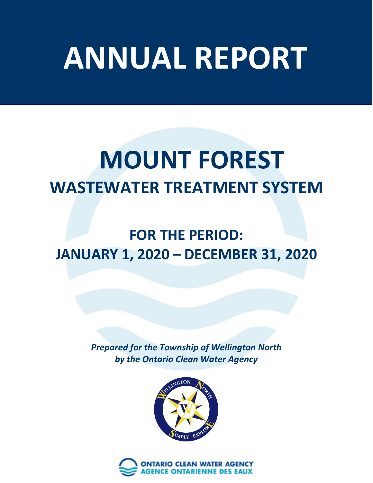# **ANNUAL REPORT**

# **MOUNT FOREST WASTEWATER TREATMENT SYSTEM**

# **FOR THE PERIOD: JANUARY 1, 2020 – DECEMBER 31, 2020**

*Prepared for the Township of Wellington North by the Ontario Clean Water Agency*



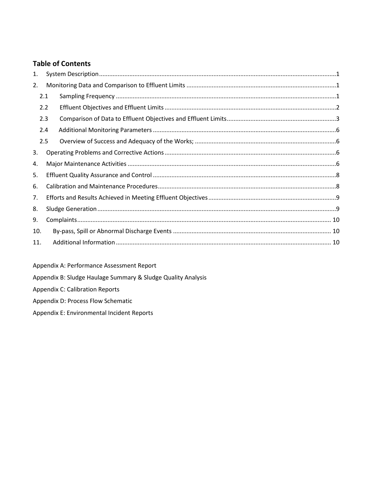#### **Table of Contents**

| 1.  |     |  |  |  |  |  |  |
|-----|-----|--|--|--|--|--|--|
|     | 2.  |  |  |  |  |  |  |
|     | 2.1 |  |  |  |  |  |  |
|     | 2.2 |  |  |  |  |  |  |
|     | 2.3 |  |  |  |  |  |  |
|     | 2.4 |  |  |  |  |  |  |
|     | 2.5 |  |  |  |  |  |  |
| 3.  |     |  |  |  |  |  |  |
| 4.  |     |  |  |  |  |  |  |
| 5.  |     |  |  |  |  |  |  |
| 6.  |     |  |  |  |  |  |  |
| 7.  |     |  |  |  |  |  |  |
| 8.  |     |  |  |  |  |  |  |
| 9.  |     |  |  |  |  |  |  |
|     | 10. |  |  |  |  |  |  |
| 11. |     |  |  |  |  |  |  |

Appendix A: Performance Assessment Report

Appendix B: Sludge Haulage Summary & Sludge Quality Analysis

**Appendix C: Calibration Reports** 

Appendix D: Process Flow Schematic

Appendix E: Environmental Incident Reports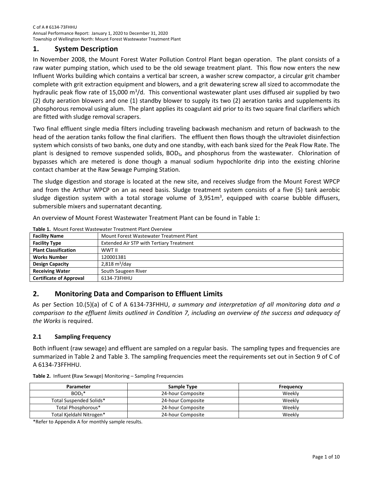#### <span id="page-2-0"></span>**1. System Description**

In November 2008, the Mount Forest Water Pollution Control Plant began operation. The plant consists of a raw water pumping station, which used to be the old sewage treatment plant. This flow now enters the new Influent Works building which contains a vertical bar screen, a washer screw compactor, a circular grit chamber complete with grit extraction equipment and blowers, and a grit dewatering screw all sized to accommodate the hydraulic peak flow rate of 15,000 m<sup>3</sup>/d. This conventional wastewater plant uses diffused air supplied by two (2) duty aeration blowers and one (1) standby blower to supply its two (2) aeration tanks and supplements its phosphorous removal using alum. The plant applies its coagulant aid prior to its two square final clarifiers which are fitted with sludge removal scrapers.

Two final effluent single media filters including traveling backwash mechanism and return of backwash to the head of the aeration tanks follow the final clarifiers. The effluent then flows though the ultraviolet disinfection system which consists of two banks, one duty and one standby, with each bank sized for the Peak Flow Rate. The plant is designed to remove suspended solids, BOD<sub>5</sub>, and phosphorus from the wastewater. Chlorination of bypasses which are metered is done though a manual sodium hypochlorite drip into the existing chlorine contact chamber at the Raw Sewage Pumping Station.

The sludge digestion and storage is located at the new site, and receives sludge from the Mount Forest WPCP and from the Arthur WPCP on an as need basis. Sludge treatment system consists of a five (5) tank aerobic sludge digestion system with a total storage volume of 3,951m<sup>3</sup>, equipped with coarse bubble diffusers, submersible mixers and supernatant decanting.

An overview of Mount Forest Wastewater Treatment Plant can be found in [Table 1:](#page-2-3)

| <b>Facility Name</b>           | Mount Forest Wastewater Treatment Plant         |
|--------------------------------|-------------------------------------------------|
| <b>Facility Type</b>           | <b>Extended Air STP with Tertiary Treatment</b> |
| <b>Plant Classification</b>    | WWT II                                          |
| <b>Works Number</b>            | 120001381                                       |
| <b>Design Capacity</b>         | 2,818 $m^3$ /day                                |
| <b>Receiving Water</b>         | South Saugeen River                             |
| <b>Certificate of Approval</b> | 6134-73FHHU                                     |

<span id="page-2-3"></span>**Table 1.** Mount Forest Wastewater Treatment Plant Overview

#### <span id="page-2-1"></span>**2. Monitoring Data and Comparison to Effluent Limits**

As per Section 10.(5)(a) of C of A 6134-73FHHU, *a summary and interpretation of all monitoring data and a comparison to the effluent limits outlined in Condition 7, including an overview of the success and adequacy of the Works* is required.

#### <span id="page-2-2"></span>**2.1 Sampling Frequency**

Both influent (raw sewage) and effluent are sampled on a regular basis. The sampling types and frequencies are summarized in Table 2 and Table 3. The sampling frequencies meet the requirements set out in Section 9 of C of A 6134-73FFHHU.

**Table 2.** Influent **(**Raw Sewage) Monitoring – Sampling Frequencies

| Parameter                | Sample Type       | Frequency |
|--------------------------|-------------------|-----------|
| $BOD5$ *                 | 24-hour Composite | Weekly    |
| Total Suspended Solids*  | 24-hour Composite | Weekly    |
| Total Phosphorous*       | 24-hour Composite | Weekly    |
| Total Kjeldahl Nitrogen* | 24-hour Composite | Weekly    |

\*Refer to Appendix A for monthly sample results.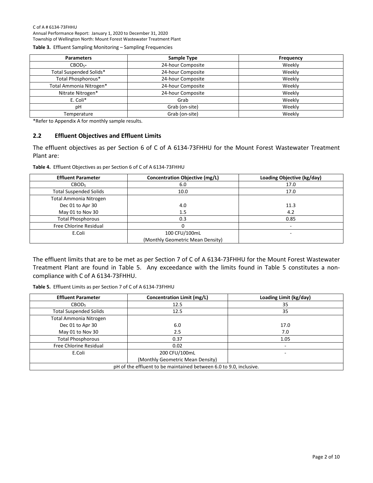#### C of A # 6134-73FHHU

Annual Performance Report: January 1, 2020 to December 31, 2020 Township of Wellington North: Mount Forest Wastewater Treatment Plant

**Table 3.** Effluent Sampling Monitoring – Sampling Frequencies

| <b>Parameters</b>       | Sample Type       | <b>Frequency</b> |
|-------------------------|-------------------|------------------|
| $CBOD_{5*}$             | 24-hour Composite | Weekly           |
| Total Suspended Solids* | 24-hour Composite | Weekly           |
| Total Phosphorous*      | 24-hour Composite | Weekly           |
| Total Ammonia Nitrogen* | 24-hour Composite | Weekly           |
| Nitrate Nitrogen*       | 24-hour Composite | Weekly           |
| E. Coli*                | Grab              | Weekly           |
| pH                      | Grab (on-site)    | Weekly           |
| Temperature             | Grab (on-site)    | Weekly           |

\*Refer to Appendix A for monthly sample results.

#### <span id="page-3-0"></span>**2.2 Effluent Objectives and Effluent Limits**

The effluent objectives as per Section 6 of C of A 6134-73FHHU for the Mount Forest Wastewater Treatment Plant are:

**Table 4.** Effluent Objectives as per Section 6 of C of A 6134-73FHHU

| <b>Effluent Parameter</b>     | Concentration Objective (mg/L)   | Loading Objective (kg/day) |
|-------------------------------|----------------------------------|----------------------------|
| CBOD <sub>5</sub>             | 6.0                              | 17.0                       |
| <b>Total Suspended Solids</b> | 10.0                             | 17.0                       |
| Total Ammonia Nitrogen        |                                  |                            |
| Dec 01 to Apr 30              | 4.0                              | 11.3                       |
| May 01 to Nov 30              | 1.5                              | 4.2                        |
| <b>Total Phosphorous</b>      | 0.3                              | 0.85                       |
| Free Chlorine Residual        |                                  |                            |
| E.Coli                        | 100 CFU/100mL                    |                            |
|                               | (Monthly Geometric Mean Density) |                            |

The effluent limits that are to be met as per Section 7 of C of A 6134-73FHHU for the Mount Forest Wastewater Treatment Plant are found in Table 5. Any exceedance with the limits found in Table 5 constitutes a noncompliance with C of A 6134-73FHHU.

|  |  |  | Table 5. Effluent Limits as per Section 7 of C of A 6134-73FHHU |
|--|--|--|-----------------------------------------------------------------|
|--|--|--|-----------------------------------------------------------------|

<span id="page-3-1"></span>

| <b>Effluent Parameter</b>                                          | Concentration Limit (mg/L)       | Loading Limit (kg/day) |  |  |  |  |
|--------------------------------------------------------------------|----------------------------------|------------------------|--|--|--|--|
| CBOD <sub>5</sub>                                                  | 12.5                             | 35                     |  |  |  |  |
| <b>Total Suspended Solids</b>                                      | 12.5                             | 35                     |  |  |  |  |
| Total Ammonia Nitrogen                                             |                                  |                        |  |  |  |  |
| Dec 01 to Apr 30                                                   | 6.0                              | 17.0                   |  |  |  |  |
| May 01 to Nov 30                                                   | 2.5                              | 7.0                    |  |  |  |  |
| <b>Total Phosphorous</b>                                           | 0.37                             | 1.05                   |  |  |  |  |
| Free Chlorine Residual                                             | 0.02                             |                        |  |  |  |  |
| E.Coli                                                             | 200 CFU/100mL                    |                        |  |  |  |  |
|                                                                    | (Monthly Geometric Mean Density) |                        |  |  |  |  |
| pH of the effluent to be maintained between 6.0 to 9.0, inclusive. |                                  |                        |  |  |  |  |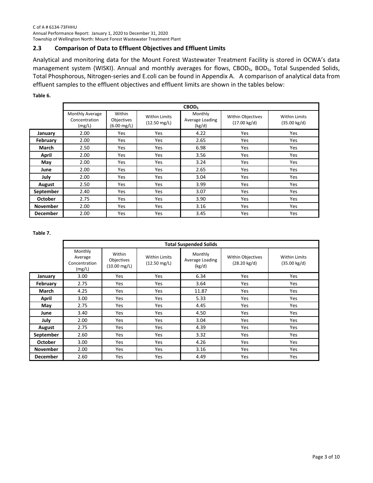#### **2.3 Comparison of Data to Effluent Objectives and Effluent Limits**

Analytical and monitoring data for the Mount Forest Wastewater Treatment Facility is stored in OCWA's data management system (WISKI). Annual and monthly averages for flows, CBOD<sub>5</sub>, BOD<sub>5</sub>, Total Suspended Solids, Total Phosphorous, Nitrogen-series and E.coli can be found in Appendix A. A comparison of analytical data from effluent samples to the effluent objectives and effluent limits are shown in the tables below:

**Table 6.** 

|                 | CBOD <sub>5</sub>                          |                                          |                                                |                                      |                                             |                                                |
|-----------------|--------------------------------------------|------------------------------------------|------------------------------------------------|--------------------------------------|---------------------------------------------|------------------------------------------------|
|                 | Monthly Average<br>Concentration<br>(mg/L) | Within<br>Objectives<br>$(6.00 \, mg/L)$ | <b>Within Limits</b><br>$(12.50 \text{ mg/L})$ | Monthly<br>Average Loading<br>(kg/d) | Within Objectives<br>$(17.00 \text{ kg/d})$ | <b>Within Limits</b><br>$(35.00 \text{ kg/d})$ |
| January         | 2.00                                       | Yes                                      | <b>Yes</b>                                     | 4.22                                 | Yes                                         | Yes                                            |
| February        | 2.00                                       | Yes                                      | Yes                                            | 2.65                                 | <b>Yes</b>                                  | <b>Yes</b>                                     |
| March           | 2.50                                       | Yes                                      | <b>Yes</b>                                     | 6.98                                 | <b>Yes</b>                                  | Yes                                            |
| April           | 2.00                                       | Yes                                      | <b>Yes</b>                                     | 3.56                                 | Yes                                         | Yes                                            |
| May             | 2.00                                       | Yes                                      | Yes                                            | 3.24                                 | Yes                                         | Yes                                            |
| June            | 2.00                                       | Yes                                      | Yes                                            | 2.65                                 | <b>Yes</b>                                  | <b>Yes</b>                                     |
| July            | 2.00                                       | Yes                                      | <b>Yes</b>                                     | 3.04                                 | <b>Yes</b>                                  | <b>Yes</b>                                     |
| August          | 2.50                                       | Yes                                      | Yes                                            | 3.99                                 | <b>Yes</b>                                  | Yes                                            |
| September       | 2.40                                       | Yes                                      | <b>Yes</b>                                     | 3.07                                 | <b>Yes</b>                                  | <b>Yes</b>                                     |
| October         | 2.75                                       | Yes                                      | Yes                                            | 3.90                                 | Yes                                         | Yes                                            |
| <b>November</b> | 2.00                                       | Yes                                      | <b>Yes</b>                                     | 3.16                                 | <b>Yes</b>                                  | Yes                                            |
| <b>December</b> | 2.00                                       | Yes                                      | <b>Yes</b>                                     | 3.45                                 | Yes                                         | Yes                                            |

**Table 7.** 

|                 |                                               | <b>Total Suspended Solids</b>                  |                                                |                                      |                                             |                                                |  |  |
|-----------------|-----------------------------------------------|------------------------------------------------|------------------------------------------------|--------------------------------------|---------------------------------------------|------------------------------------------------|--|--|
|                 | Monthly<br>Average<br>Concentration<br>(mg/L) | Within<br>Objectives<br>$(10.00 \text{ mg/L})$ | <b>Within Limits</b><br>$(12.50 \text{ mg/L})$ | Monthly<br>Average Loading<br>(kg/d) | Within Objectives<br>$(28.20 \text{ kg/d})$ | <b>Within Limits</b><br>$(35.00 \text{ kg/d})$ |  |  |
| January         | 3.00                                          | <b>Yes</b>                                     | <b>Yes</b>                                     | 6.34                                 | <b>Yes</b>                                  | Yes                                            |  |  |
| February        | 2.75                                          | Yes                                            | Yes                                            | 3.64                                 | Yes                                         | Yes                                            |  |  |
| March           | 4.25                                          | <b>Yes</b>                                     | <b>Yes</b>                                     | 11.87                                | <b>Yes</b>                                  | Yes                                            |  |  |
| April           | 3.00                                          | <b>Yes</b>                                     | <b>Yes</b>                                     | 5.33                                 | <b>Yes</b>                                  | Yes                                            |  |  |
| May             | 2.75                                          | <b>Yes</b>                                     | <b>Yes</b>                                     | 4.45                                 | <b>Yes</b>                                  | Yes                                            |  |  |
| June            | 3.40                                          | Yes                                            | Yes                                            | 4.50                                 | Yes                                         | Yes                                            |  |  |
| July            | 2.00                                          | <b>Yes</b>                                     | <b>Yes</b>                                     | 3.04                                 | <b>Yes</b>                                  | Yes                                            |  |  |
| August          | 2.75                                          | <b>Yes</b>                                     | <b>Yes</b>                                     | 4.39                                 | <b>Yes</b>                                  | Yes                                            |  |  |
| September       | 2.60                                          | <b>Yes</b>                                     | <b>Yes</b>                                     | 3.32                                 | Yes                                         | Yes                                            |  |  |
| <b>October</b>  | 3.00                                          | <b>Yes</b>                                     | Yes                                            | 4.26                                 | <b>Yes</b>                                  | Yes                                            |  |  |
| <b>November</b> | 2.00                                          | <b>Yes</b>                                     | Yes                                            | 3.16                                 | Yes                                         | Yes                                            |  |  |
| <b>December</b> | 2.60                                          | Yes                                            | <b>Yes</b>                                     | 4.49                                 | <b>Yes</b>                                  | Yes                                            |  |  |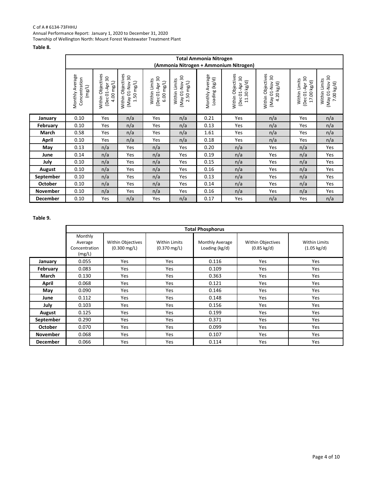#### C of A # 6134-73FHHU

Annual Performance Report: January 1, 2020 to December 31, 2020 Township of Wellington North: Mount Forest Wastewater Treatment Plant

#### **Table 8.**

|                 | <b>Total Ammonia Nitrogen</b>              |                                                   |                                                              |                                                   |                                                                 |                                   |                                                             |                                                     |                                                |                                                  |
|-----------------|--------------------------------------------|---------------------------------------------------|--------------------------------------------------------------|---------------------------------------------------|-----------------------------------------------------------------|-----------------------------------|-------------------------------------------------------------|-----------------------------------------------------|------------------------------------------------|--------------------------------------------------|
|                 |                                            |                                                   |                                                              |                                                   |                                                                 |                                   |                                                             |                                                     |                                                |                                                  |
|                 | (Ammonia Nitrogen + Ammonium Nitrogen)     |                                                   |                                                              |                                                   |                                                                 |                                   |                                                             |                                                     |                                                |                                                  |
|                 | Monthly Average<br>Concentration<br>(mg/L) | Within Objectives<br>(Dec 01-Apr 30<br>4.00 mg/L) | Within Objectives<br>(May 01-Nov 30<br>$1.50 \, \text{mg/L}$ | (Dec 01-Apr 30<br>Within Limits<br>$6.00 \, mg/L$ | $\overline{30}$<br>Within Limits<br>$2.50$ mg/L)<br>Vol-10 VeM) | Monthly Average<br>Loading (kg/d) | Within Objectives<br>(Dec 01-Apr 30<br>$11.30 \text{ kg/d}$ | Within Objectives<br>30<br>May 01-Nov<br>4.20 kg/d) | (Dec 01-Apr 30<br>Within Limits<br>17.00 kg/d) | 30<br>Within Limits<br>VON-TO VEM)<br>7.00 kg/d) |
| January         | 0.10                                       | Yes                                               | n/a                                                          | Yes                                               | n/a                                                             | 0.21                              | Yes                                                         | n/a                                                 | Yes                                            | n/a                                              |
| February        | 0.10                                       | Yes                                               | n/a                                                          | Yes                                               | n/a                                                             | 0.13                              | Yes                                                         | n/a                                                 | Yes                                            | n/a                                              |
| March           | 0.58                                       | Yes                                               | n/a                                                          | Yes                                               | n/a                                                             | 1.61                              | Yes                                                         | n/a                                                 | Yes                                            | n/a                                              |
| <b>April</b>    | 0.10                                       | Yes                                               | n/a                                                          | Yes                                               | n/a                                                             | 0.18                              | Yes                                                         | n/a                                                 | Yes                                            | n/a                                              |
| May             | 0.13                                       | n/a                                               | Yes                                                          | n/a                                               | Yes                                                             | 0.20                              | n/a                                                         | Yes                                                 | n/a                                            | Yes                                              |
| June            | 0.14                                       | n/a                                               | Yes                                                          | n/a                                               | Yes                                                             | 0.19                              | n/a                                                         | Yes                                                 | n/a                                            | Yes                                              |
| July            | 0.10                                       | n/a                                               | Yes                                                          | n/a                                               | Yes                                                             | 0.15                              | n/a                                                         | Yes                                                 | n/a                                            | Yes                                              |
| <b>August</b>   | 0.10                                       | n/a                                               | Yes                                                          | n/a                                               | Yes                                                             | 0.16                              | n/a                                                         | Yes                                                 | n/a                                            | Yes                                              |
| September       | 0.10                                       | n/a                                               | Yes                                                          | n/a                                               | Yes                                                             | 0.13                              | n/a                                                         | Yes                                                 | n/a                                            | Yes                                              |
| <b>October</b>  | 0.10                                       | n/a                                               | Yes                                                          | n/a                                               | Yes                                                             | 0.14                              | n/a                                                         | Yes                                                 | n/a                                            | Yes                                              |
| November        | 0.10                                       | n/a                                               | Yes                                                          | n/a                                               | Yes                                                             | 0.16                              | n/a                                                         | Yes                                                 | n/a                                            | Yes                                              |
| <b>December</b> | 0.10                                       | Yes                                               | n/a                                                          | Yes                                               | n/a                                                             | 0.17                              | Yes                                                         | n/a                                                 | Yes                                            | n/a                                              |

#### **Table 9.**

|                 | <b>Total Phosphorus</b>                       |                                                    |                                                |                                   |                                                   |                                               |  |
|-----------------|-----------------------------------------------|----------------------------------------------------|------------------------------------------------|-----------------------------------|---------------------------------------------------|-----------------------------------------------|--|
|                 | Monthly<br>Average<br>Concentration<br>(mg/L) | <b>Within Objectives</b><br>$(0.300 \text{ mg/L})$ | <b>Within Limits</b><br>$(0.370 \text{ mg/L})$ | Monthly Average<br>Loading (kg/d) | <b>Within Objectives</b><br>$(0.85 \text{ kg/d})$ | <b>Within Limits</b><br>$(1.05 \text{ kg/d})$ |  |
| January         | 0.055                                         | Yes                                                | Yes                                            | 0.116                             | <b>Yes</b>                                        | <b>Yes</b>                                    |  |
| February        | 0.083                                         | Yes                                                | Yes                                            | 0.109                             | Yes                                               | Yes                                           |  |
| March           | 0.130                                         | Yes                                                | Yes                                            | 0.363                             | <b>Yes</b>                                        | Yes                                           |  |
| April           | 0.068                                         | Yes                                                | Yes                                            | 0.121                             | Yes                                               | Yes                                           |  |
| May             | 0.090                                         | Yes                                                | Yes                                            | 0.146                             | <b>Yes</b>                                        | <b>Yes</b>                                    |  |
| June            | 0.112                                         | Yes                                                | Yes                                            | 0.148                             | Yes                                               | Yes                                           |  |
| July            | 0.103                                         | Yes                                                | Yes                                            | 0.156                             | <b>Yes</b>                                        | Yes                                           |  |
| <b>August</b>   | 0.125                                         | Yes                                                | Yes                                            | 0.199                             | <b>Yes</b>                                        | Yes                                           |  |
| September       | 0.290                                         | Yes                                                | Yes                                            | 0.371                             | <b>Yes</b>                                        | <b>Yes</b>                                    |  |
| <b>October</b>  | 0.070                                         | Yes                                                | Yes                                            | 0.099                             | <b>Yes</b>                                        | <b>Yes</b>                                    |  |
| <b>November</b> | 0.068                                         | Yes                                                | Yes                                            | 0.107                             | Yes                                               | Yes                                           |  |
| <b>December</b> | 0.066                                         | Yes                                                | Yes                                            | 0.114                             | Yes                                               | Yes                                           |  |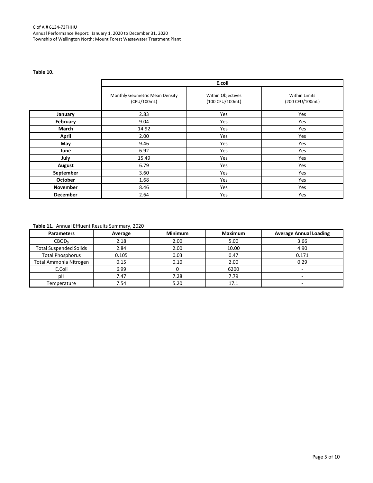#### C of A # 6134-73FHHU Annual Performance Report: January 1, 2020 to December 31, 2020 Township of Wellington North: Mount Forest Wastewater Treatment Plant

#### **Table 10.**

|                 | E.coli                                        |                                      |                                         |  |  |  |  |
|-----------------|-----------------------------------------------|--------------------------------------|-----------------------------------------|--|--|--|--|
|                 | Monthly Geometric Mean Density<br>(CFU/100mL) | Within Objectives<br>(100 CFU/100mL) | <b>Within Limits</b><br>(200 CFU/100mL) |  |  |  |  |
| January         | 2.83                                          | Yes                                  | Yes                                     |  |  |  |  |
| February        | 9.04                                          | Yes                                  | Yes                                     |  |  |  |  |
| March           | 14.92                                         | Yes                                  | Yes                                     |  |  |  |  |
| <b>April</b>    | 2.00                                          | Yes                                  | Yes                                     |  |  |  |  |
| May             | 9.46                                          | Yes                                  | Yes                                     |  |  |  |  |
| June            | 6.92                                          | Yes                                  | Yes                                     |  |  |  |  |
| July            | 15.49                                         | Yes                                  | Yes                                     |  |  |  |  |
| August          | 6.79                                          | Yes                                  | Yes                                     |  |  |  |  |
| September       | 3.60                                          | Yes                                  | Yes                                     |  |  |  |  |
| <b>October</b>  | 1.68                                          | Yes                                  | Yes                                     |  |  |  |  |
| <b>November</b> | 8.46                                          | Yes                                  | Yes                                     |  |  |  |  |
| <b>December</b> | 2.64                                          | Yes                                  | Yes                                     |  |  |  |  |

#### **Table 11.** Annual Effluent Results Summary, 2020

| <b>Parameters</b>             | Average | <b>Minimum</b> | <b>Maximum</b> | <b>Average Annual Loading</b> |
|-------------------------------|---------|----------------|----------------|-------------------------------|
| <b>CBOD</b>                   | 2.18    | 2.00           | 5.00           | 3.66                          |
| <b>Total Suspended Solids</b> | 2.84    | 2.00           | 10.00          | 4.90                          |
| <b>Total Phosphorus</b>       | 0.105   | 0.03           | 0.47           | 0.171                         |
| <b>Total Ammonia Nitrogen</b> | 0.15    | 0.10           | 2.00           | 0.29                          |
| E.Coli                        | 6.99    |                | 6200           | -                             |
| рH                            | 7.47    | 7.28           | 7.79           |                               |
| Temperature                   | 7.54    | 5.20           | 17.1           | -                             |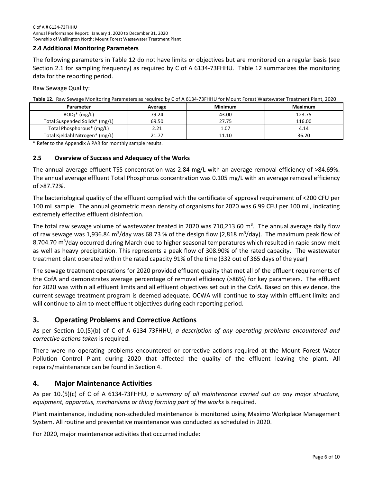#### <span id="page-7-0"></span>**2.4 Additional Monitoring Parameters**

The following parameters in Table 12 do not have limits or objectives but are monitored on a regular basis (see Section 2.1 for sampling frequency) as required by C of A 6134-73FHHU. Table 12 summarizes the monitoring data for the reporting period.

Raw Sewage Quality:

**Table 12.** Raw Sewage Monitoring Parameters as required by C of A 6134-73FHHU for Mount Forest Wastewater Treatment Plant, 2020

| Parameter                       | Average | <b>Minimum</b> | <b>Maximum</b> |
|---------------------------------|---------|----------------|----------------|
| $BOD5*(mg/L)$                   | 79.24   | 43.00          | 123.75         |
| Total Suspended Solids* (mg/L)  | 69.50   | 27.75          | 116.00         |
| Total Phosphorous* (mg/L)       | 2.21    | 1.07           | 4.14           |
| Total Kjeldahl Nitrogen* (mg/L) | 21.77   | 11.10          | 36.20          |

\* Refer to the Appendix A PAR for monthly sample results.

#### <span id="page-7-1"></span>**2.5 Overview of Success and Adequacy of the Works**

The annual average effluent TSS concentration was 2.84 mg/L with an average removal efficiency of >84.69%. The annual average effluent Total Phosphorus concentration was 0.105 mg/L with an average removal efficiency of >87.72%.

The bacteriological quality of the effluent complied with the certificate of approval requirement of <200 CFU per 100 mL sample. The annual geometric mean density of organisms for 2020 was 6.99 CFU per 100 mL, indicating extremely effective effluent disinfection.

The total raw sewage volume of wastewater treated in 2020 was 710,213.60  $m^3$ . The annual average daily flow of raw sewage was 1,936.84 m<sup>3</sup>/day was 68.73 % of the design flow (2,818 m<sup>3</sup>/day). The maximum peak flow of 8,704.70 m<sup>3</sup>/day occurred during March due to higher seasonal temperatures which resulted in rapid snow melt as well as heavy precipitation. This represents a peak flow of 308.90% of the rated capacity. The wastewater treatment plant operated within the rated capacity 91% of the time (332 out of 365 days of the year)

<span id="page-7-2"></span>The sewage treatment operations for 2020 provided effluent quality that met all of the effluent requirements of the CofA and demonstrates average percentage of removal efficiency (>86%) for key parameters. The effluent for 2020 was within all effluent limits and all effluent objectives set out in the CofA. Based on this evidence, the current sewage treatment program is deemed adequate. OCWA will continue to stay within effluent limits and will continue to aim to meet effluent objectives during each reporting period.

#### **3. Operating Problems and Corrective Actions**

As per Section 10.(5)(b) of C of A 6134-73FHHU, *a description of any operating problems encountered and corrective actions taken* is required.

There were no operating problems encountered or corrective actions required at the Mount Forest Water Pollution Control Plant during 2020 that affected the quality of the effluent leaving the plant. All repairs/maintenance can be found in Section 4.

#### <span id="page-7-3"></span>**4. Major Maintenance Activities**

As per 10.(5)(c) of C of A 6134-73FHHU, *a summary of all maintenance carried out on any major structure, equipment, apparatus, mechanisms or thing forming part of the works* is required.

Plant maintenance, including non-scheduled maintenance is monitored using Maximo Workplace Management System. All routine and preventative maintenance was conducted as scheduled in 2020.

For 2020, major maintenance activities that occurred include: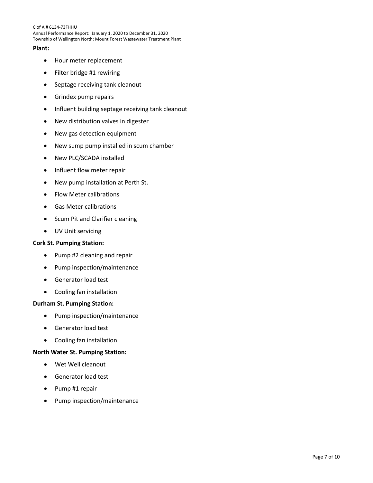C of A # 6134-73FHHU Annual Performance Report: January 1, 2020 to December 31, 2020 Township of Wellington North: Mount Forest Wastewater Treatment Plant

#### **Plant:**

- Hour meter replacement
- Filter bridge #1 rewiring
- Septage receiving tank cleanout
- Grindex pump repairs
- Influent building septage receiving tank cleanout
- New distribution valves in digester
- New gas detection equipment
- New sump pump installed in scum chamber
- New PLC/SCADA installed
- Influent flow meter repair
- New pump installation at Perth St.
- Flow Meter calibrations
- Gas Meter calibrations
- Scum Pit and Clarifier cleaning
- UV Unit servicing

#### **Cork St. Pumping Station:**

- Pump #2 cleaning and repair
- Pump inspection/maintenance
- Generator load test
- Cooling fan installation

#### **Durham St. Pumping Station:**

- Pump inspection/maintenance
- Generator load test
- Cooling fan installation

#### **North Water St. Pumping Station:**

- Wet Well cleanout
- Generator load test
- Pump #1 repair
- Pump inspection/maintenance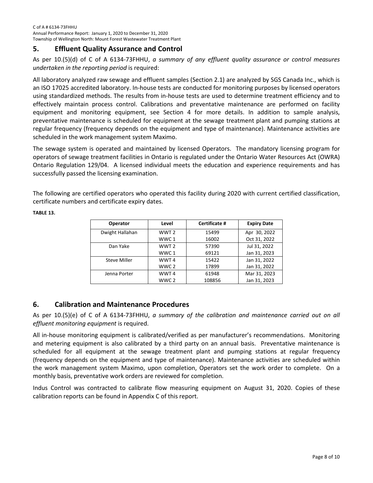#### <span id="page-9-0"></span>**5. Effluent Quality Assurance and Control**

As per 10.(5)(d) of C of A 6134-73FHHU, *a summary of any effluent quality assurance or control measures undertaken in the reporting period* is required:

All laboratory analyzed raw sewage and effluent samples (Section 2.1) are analyzed by SGS Canada Inc., which is an ISO 17025 accredited laboratory. In-house tests are conducted for monitoring purposes by licensed operators using standardized methods. The results from in-house tests are used to determine treatment efficiency and to effectively maintain process control. Calibrations and preventative maintenance are performed on facility equipment and monitoring equipment, see Section 4 for more details. In addition to sample analysis, preventative maintenance is scheduled for equipment at the sewage treatment plant and pumping stations at regular frequency (frequency depends on the equipment and type of maintenance). Maintenance activities are scheduled in the work management system Maximo.

The sewage system is operated and maintained by licensed Operators. The mandatory licensing program for operators of sewage treatment facilities in Ontario is regulated under the Ontario Water Resources Act (OWRA) Ontario Regulation 129/04. A licensed individual meets the education and experience requirements and has successfully passed the licensing examination.

The following are certified operators who operated this facility during 2020 with current certified classification, certificate numbers and certificate expiry dates.

| <b>Operator</b> | Level            | Certificate # | <b>Expiry Date</b> |
|-----------------|------------------|---------------|--------------------|
| Dwight Hallahan | WWT <sub>2</sub> | 15499         | Apr 30, 2022       |
|                 | WWC 1            | 16002         | Oct 31, 2022       |
| Dan Yake        | WWT <sub>2</sub> | 57390         | Jul 31, 2022       |
|                 | WWC 1            | 69121         | Jan 31, 2023       |
| Steve Miller    | WWT <sub>4</sub> | 15422         | Jan 31, 2022       |
|                 | WWC 2            | 17899         | Jan 31, 2022       |
| Jenna Porter    | WWT <sub>4</sub> | 61948         | Mar 31, 2023       |
|                 | WWC 2            | 108856        | Jan 31, 2023       |

**TABLE 13.**

#### <span id="page-9-1"></span>**6. Calibration and Maintenance Procedures**

As per 10.(5)(e) of C of A 6134-73FHHU, *a summary of the calibration and maintenance carried out on all effluent monitoring equipment* is required.

All in-house monitoring equipment is calibrated/verified as per manufacturer's recommendations. Monitoring and metering equipment is also calibrated by a third party on an annual basis. Preventative maintenance is scheduled for all equipment at the sewage treatment plant and pumping stations at regular frequency (frequency depends on the equipment and type of maintenance). Maintenance activities are scheduled within the work management system Maximo, upon completion, Operators set the work order to complete. On a monthly basis, preventative work orders are reviewed for completion.

Indus Control was contracted to calibrate flow measuring equipment on August 31, 2020. Copies of these calibration reports can be found in Appendix C of this report.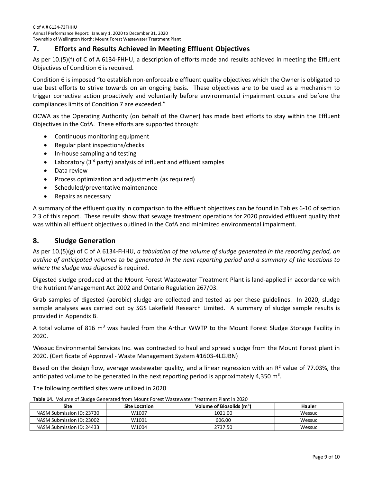#### <span id="page-10-0"></span>**7. Efforts and Results Achieved in Meeting Effluent Objectives**

As per 10.(5)(f) of C of A 6134-FHHU, a description of efforts made and results achieved in meeting the Effluent Objectives of Condition 6 is required.

Condition 6 is imposed "to establish non-enforceable effluent quality objectives which the Owner is obligated to use best efforts to strive towards on an ongoing basis. These objectives are to be used as a mechanism to trigger corrective action proactively and voluntarily before environmental impairment occurs and before the compliances limits of Condition 7 are exceeded."

OCWA as the Operating Authority (on behalf of the Owner) has made best efforts to stay within the Effluent Objectives in the CofA. These efforts are supported through:

- Continuous monitoring equipment
- Regular plant inspections/checks
- In-house sampling and testing
- Laboratory ( $3<sup>rd</sup>$  party) analysis of influent and effluent samples
- Data review
- Process optimization and adjustments (as required)
- Scheduled/preventative maintenance
- Repairs as necessary

A summary of the effluent quality in comparison to the effluent objectives can be found in Tables 6-10 of section 2.3 of this report. These results show that sewage treatment operations for 2020 provided effluent quality that was within all effluent objectives outlined in the CofA and minimized environmental impairment.

#### <span id="page-10-1"></span>**8. Sludge Generation**

As per 10.(5)(g) of C of A 6134-FHHU, *a tabulation of the volume of sludge generated in the reporting period, an outline of anticipated volumes to be generated in the next reporting period and a summary of the locations to where the sludge was disposed* is required*.*

Digested sludge produced at the Mount Forest Wastewater Treatment Plant is land-applied in accordance with the Nutrient Management Act 2002 and Ontario Regulation 267/03.

Grab samples of digested (aerobic) sludge are collected and tested as per these guidelines. In 2020, sludge sample analyses was carried out by SGS Lakefield Research Limited. A summary of sludge sample results is provided in Appendix B.

A total volume of 816  $m<sup>3</sup>$  was hauled from the Arthur WWTP to the Mount Forest Sludge Storage Facility in 2020.

Wessuc Environmental Services Inc. was contracted to haul and spread sludge from the Mount Forest plant in 2020. (Certificate of Approval - Waste Management System #1603-4LGJBN)

Based on the design flow, average wastewater quality, and a linear regression with an  $R<sup>2</sup>$  value of 77.03%, the anticipated volume to be generated in the next reporting period is approximately 4,350  $m^3$ .

The following certified sites were utilized in 2020

| <b>Site</b>               | <b>Site Location</b> | Volume of Biosolids (m <sup>3</sup> ) | Hauler |
|---------------------------|----------------------|---------------------------------------|--------|
| NASM Submission ID: 23730 | W1007                | 1021.00                               | Wessuc |
| NASM Submission ID: 23002 | W1001                | 606.00                                | Wessuc |
| NASM Submission ID: 24433 | W1004                | 2737.50                               | Wessuc |

**Table 14.** Volume of Sludge Generated from Mount Forest Wastewater Treatment Plant in 2020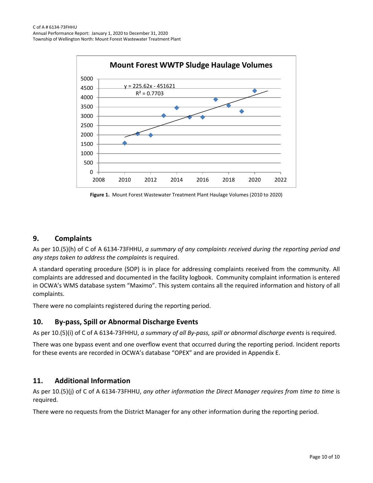

**Figure 1.** Mount Forest Wastewater Treatment Plant Haulage Volumes (2010 to 2020)

#### <span id="page-11-0"></span>**9. Complaints**

As per 10.(5)(h) of C of A 6134-73FHHU, *a summary of any complaints received during the reporting period and any steps taken to address the complaints* is required.

A standard operating procedure (SOP) is in place for addressing complaints received from the community. All complaints are addressed and documented in the facility logbook. Community complaint information is entered in OCWA's WMS database system "Maximo". This system contains all the required information and history of all complaints.

There were no complaints registered during the reporting period.

#### <span id="page-11-1"></span>**10. By-pass, Spill or Abnormal Discharge Events**

As per 10.(5)(i) of C of A 6134-73FHHU, *a summary of all By-pass, spill or abnormal discharge events* is required.

There was one bypass event and one overflow event that occurred during the reporting period. Incident reports for these events are recorded in OCWA's database "OPEX" and are provided in Appendix E.

#### <span id="page-11-2"></span>**11. Additional Information**

As per 10.(5)(j) of C of A 6134-73FHHU, *any other information the Direct Manager requires from time to time* is required.

There were no requests from the District Manager for any other information during the reporting period.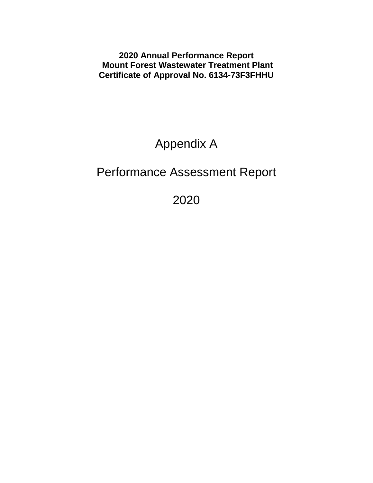**2020 Annual Performance Report Mount Forest Wastewater Treatment Plant Certificate of Approval No. 6134-73F3FHHU**

# Appendix A

# Performance Assessment Report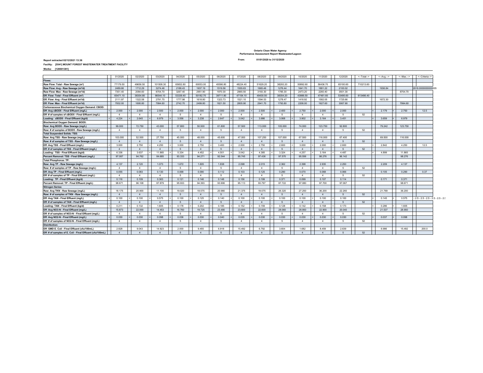#### **Ontario Clean Water Agency Performance Assessment Report Wastewater/Lagoon**

#### **01/01/2020 to 31/12/2020**

#### **Report extracted 02/12/2021 13:36 From: Facility: [5541] MOUNT FOREST WASTEWATER TREATMENT FACILITY Works: [120001381]**

|                                                           | 01/2020                | 02/2020                | 03/2020                | 04/2020  | 05/2020                | 06/2020        | 07/2020                | 08/2020        | 09/2020    | 10/2020        | 11/2020                | 12/2020  | <-Total--> | $\leftarrow$ Avg. $\rightarrow$ | $\leftarrow$ Max. $\rightarrow$ | <-- Criteria-->                      |
|-----------------------------------------------------------|------------------------|------------------------|------------------------|----------|------------------------|----------------|------------------------|----------------|------------|----------------|------------------------|----------|------------|---------------------------------|---------------------------------|--------------------------------------|
| Flows:                                                    |                        |                        |                        |          |                        |                |                        |                |            |                |                        |          |            |                                 |                                 |                                      |
| Raw Flow: Total - Raw Sewage (m <sup>3</sup> )            | 77179.50               | 49656.50               | 101508.30              | 65652.80 | 60053.00               | 45586.80       | 48224.40               | 51629.20       | 38293.20   | 50892.60       | 56436.70               | 65100.60 | 710213.60  |                                 |                                 |                                      |
| Raw Flow: Avg - Raw Sewage (m <sup>3</sup> /d)            | 2489.66                | 1712.29                | 3274.46                | 2188.43  | 1937.19                | 1519.56        | 1555.63                | 1665.46        | 1276.44    | 1641.70        | 1881.22                | 2100.02  |            | 1936.84                         |                                 | 2818.0000000000005                   |
| Raw Flow: Max - Raw Sewage (m <sup>3</sup> /d)            | 7351.40                | 2084.60                | 8704.70                | 3267.40  | 2951.90                | 1970.30        | 2965.50                | 3193.30        | 1785.30    | 2473.20        | 2260.40                | 3501.30  |            |                                 | 8704.70                         |                                      |
| Eff. Flow: Total - Final Effluent (m <sup>3</sup> )       | 65471.10               | 38354.80               | 86544.10               | 53339.40 | 50182.70               | 39711.80       | 47154.10               | 49430.50       | 38354.20   | 43986.50       | 47461.60               | 53495.60 | 613486.40  |                                 |                                 |                                      |
| Eff. Flow: Avg - Final Effluent (m <sup>3</sup> /d)       | 2111.97                | 1322.58                | 2791.75                | 1777.98  | 1618.80                | 1323.73        | 1521.10                | 1594.53        | 1278.47    | 1418.92        | 1582.05                | 1725.66  |            | 1672.30                         |                                 |                                      |
| Eff. Flow: Max - Final Effluent (m <sup>3</sup> /d)       | 7002.00                | 1695.80                | 7994.60                | 2742.70  | 2499.80                | 1821.50        | 2805.90                | 2941.70        | 1793.80    | 2208.00        | 1927.60                | 3067.90  |            |                                 | 7994.60                         |                                      |
| Carbonaceous Biochemical Oxygen Demand: CBOD:             |                        |                        |                        |          |                        |                |                        |                |            |                |                        |          |            |                                 |                                 |                                      |
| Eff: Avg cBOD5 - Final Effluent (mg/L)                    | 2.000                  | 2.000                  | 2.500                  | 2.000    | 2.000                  | 2.000          | 2.000                  | 2.500          | 2.400      | 2.750          | 2.000                  | 2.000    |            | 2.179                           | 2.750                           | 12.5                                 |
| Eff: # of samples of cBOD5 - Final Effluent (mg/L)        | $\overline{4}$         | $\mathbf{A}$           | $\overline{4}$         | -5       | $\overline{4}$         | 5              | $\boldsymbol{\Lambda}$ | $\Delta$       | -5         | $\overline{4}$ | $\boldsymbol{\Lambda}$ | - 5      | 52         |                                 |                                 |                                      |
| Loading: cBOD5 - Final Effluent (kg/d)                    | 4.224                  | 2.645                  | 6.979                  | 3.556    | 3.238                  | 2.647          | 3.042                  | 3.986          | 3.068      | 3.902          | 3.164                  | 3.451    |            | 3.659                           | 6.979                           |                                      |
| <b>Biochemical Oxygen Demand: BOD5:</b>                   |                        |                        |                        |          |                        |                |                        |                |            |                |                        |          |            |                                 |                                 |                                      |
| Raw: Avg BOD5 - Raw Sewage (mg/L)                         | 99,000                 | 72.750                 | 43,000                 | 57,800   | 50,500                 | 61,800         | 57,500                 | 113,000        | 105,000    | 74,000         | 123,750                | 92,800   |            | 79.242                          | 123.750                         |                                      |
| Raw: # of samples of BOD5 - Raw Sewage (mg/L)             | $\boldsymbol{\Lambda}$ | $\overline{4}$         | $\overline{4}$         | 5        | $\boldsymbol{\Lambda}$ | 5              | $\boldsymbol{\Lambda}$ | $\Delta$       | 5          | $\overline{4}$ | $\boldsymbol{\Lambda}$ | 5        | 52         |                                 |                                 |                                      |
| <b>Total Suspended Solids: TSS:</b>                       |                        |                        |                        |          |                        |                |                        |                |            |                |                        |          |            |                                 |                                 |                                      |
| Raw: Avg TSS - Raw Sewage (mg/L)                          | 103,000                | 52,500                 | 27,750                 | 45.000   | 48.000                 | 45,600         | 47,000                 | 107.250        | 107.000    | 67,500         | 116,000                | 67.400   |            | 69,500                          | 116,000                         |                                      |
| Raw: # of samples of TSS - Raw Sewage (mg/L)              | $\mathbf{A}$           | $\boldsymbol{\Lambda}$ | $\overline{4}$         | $-5$     | $\overline{4}$         | $\overline{5}$ | $\overline{4}$         |                | -5         | $\overline{4}$ |                        | -5       | 52         |                                 |                                 |                                      |
| Eff: Avg TSS - Final Effluent (mg/L)                      | 3.000                  | 2.750                  | 4.250                  | 3.000    | 2.750                  | 3.400          | 2.000                  | 2.750          | 2.600      | 3.000          | 2.000                  | 2.600    |            | 2.842                           | 4.250                           | 12.5                                 |
| Eff: # of samples of TSS - Final Effluent (mg/L)          | $\overline{4}$         | $\overline{4}$         | $\overline{4}$         | 5        | $\overline{4}$         | 5              | $\overline{4}$         | $\overline{4}$ | -5         | $\overline{4}$ | $\boldsymbol{\Lambda}$ | $-5$     | 52         |                                 |                                 |                                      |
| Loading: TSS - Final Effluent (kg/d)                      | 6.336                  | 3.637                  | 11.865                 | 5.334    | 4.452                  | 4.501          | 3.042                  | 4.385          | 3.324      | 4.257          | 3.164                  | 4.487    |            | 4.899                           | 11.865                          |                                      |
| Percent Removal: TSS - Final Effluent (mg/L)              | 97.087                 | 94.762                 | 84,685                 | 93.333   | 94.271                 | 92.544         | 95.745                 | 97.436         | 97.570     | 95,556         | 98.276                 | 96.142   |            |                                 | 98.276                          |                                      |
| <b>Total Phosphorus: TP:</b>                              |                        |                        |                        |          |                        |                |                        |                |            |                |                        |          |            |                                 |                                 |                                      |
| Raw: Avg TP - Raw Sewage (mg/L)                           | 4.137                  | 2.120                  | 1.073                  | 1.672    | 1.605                  | 1.838          | 2.098                  | 2.015          | 2.362      | 2.398          | 2.935                  | 2.250    |            | 2.209                           | 4.137                           |                                      |
| Raw: # of samples of TP - Raw Sewage (mg/L)               | $\overline{4}$         | $\overline{4}$         | $\boldsymbol{\Lambda}$ | 5        | $\overline{4}$         | 5              | $\boldsymbol{\Lambda}$ | $\Delta$       | 5          | $\overline{4}$ | $\Delta$               | -5       | 52         |                                 |                                 |                                      |
| Eff: Avg TP - Final Effluent (mg/L)                       | 0.055                  | 0.083                  | 0.130                  | 0.068    | 0.090                  | 0.112          | 0.103                  | 0.125          | 0.290      | 0.070          | 0.068                  | 0.066    |            | 0.105                           | 0.290                           | 0.37                                 |
| Eff: # of samples of TP - Final Effluent (mg/L)           | $\overline{4}$         | $\overline{4}$         | $\overline{4}$         | -5       | $\overline{4}$         | 5              | $\overline{4}$         | $\Delta$       | 5          | $\overline{4}$ | $\Delta$               | 5        | 52         |                                 |                                 |                                      |
| Loading: TP - Final Effluent (kg/d)                       | 0.116                  | 0.109                  | 0.363                  | 0.121    | 0.146                  | 0.148          | 0.156                  | 0.199          | 0.371      | 0.099          | 0.107                  | 0.114    |            | 0.171                           | 0.371                           |                                      |
| Percent Removal: TP - Final Effluent (mg/L)               | 98.671                 | 96.108                 | 87,879                 | 95.933   | 94.393                 | 93.906         | 95.113                 | 93.797         | 87.722     | 97.080         | 97.700                 | 97.067   |            |                                 | 98.671                          |                                      |
| <b>Nitrogen Series:</b>                                   |                        |                        |                        |          |                        |                |                        |                |            |                |                        |          |            |                                 |                                 |                                      |
| Raw: Avg TKN - Raw Sewage (mg/L)                          | 18.175                 | 20.900                 | 11.100                 | 19.020   | 18.575                 | 20.980         | 21.375                 | 19.075         | 26.320     | 27.250         | 36.200                 | 22.260   |            | 21.769                          | 36.200                          |                                      |
| Raw: # of samples of TKN - Raw Sewage (mg/L)              | $\overline{4}$         | $\boldsymbol{\Lambda}$ | $\overline{4}$         | $-5$     | $\boldsymbol{\Lambda}$ | $\overline{5}$ | $\overline{A}$         | $\overline{4}$ | -5         | $\overline{4}$ | $\boldsymbol{\Lambda}$ | 5        | 52         |                                 |                                 |                                      |
| Eff: Avg TAN - Final Effluent (mg/L)                      | 0.100                  | 0.100                  | 0.575                  | 0.100    | 0.125                  | 0.140          | 0.100                  | 0.100          | 0.100      | 0.100          | 0.100                  | 0.100    |            | 0.145                           | 0.575                           | $-2.5 - 2.5 - 2.5 - 2.5 - 2.5 - 2.5$ |
| Eff: # of samples of TAN - Final Effluent (mg/L)          | $\overline{4}$         | $\overline{4}$         | $\overline{4}$         | 5        | $\overline{4}$         | $\overline{5}$ | $\overline{4}$         | $\overline{4}$ | 5          | $\overline{4}$ | $\overline{4}$         | 5        | 52         |                                 |                                 |                                      |
| Loading: TAN - Final Effluent (kg/d)                      | 0.211                  | 0.132                  | 1.605                  | 0.178    | 0.202                  | 0.185          | 0.152                  | 0.159          | 0.128      | 0.142          | 0.158                  | 0.173    |            | 0.286                           | 1.605                           |                                      |
| Eff: Avg NO3-N - Final Effluent (mg/L)                    | 15,873                 | 22,000                 | 14,453                 | 16,760   | 19.725                 | 23,480         | 23,600                 | 22,600         | 28,060     | 28,950         | 22,900                 | 20.040   |            | 21.537                          | 28,950                          |                                      |
| Eff: # of samples of NO3-N - Final Effluent (mg/L)        | $\overline{4}$         | $\boldsymbol{\Lambda}$ | $\overline{4}$         | 5        | $\overline{4}$         | 5              | $\overline{4}$         | $\Delta$       | -5         | $\overline{4}$ | $\Delta$               | 5        | 52         |                                 |                                 |                                      |
| Eff: Avg NO2-N - Final Effluent (mg/L)                    | 0.030                  | 0.030                  | 0.098                  | 0.036    | 0.030                  | 0.040          | 0.035                  | 0.030          | 0.030      | 0.030          | 0.030                  | 0.030    |            | 0.037                           | 0.098                           |                                      |
| Eff: # of samples of NO2-N - Final Effluent (mg/L)        | $\overline{4}$         | $\overline{4}$         | $\overline{4}$         | -5       | $\overline{4}$         | 5              | $\overline{4}$         | $\Delta$       | -5         | $\overline{4}$ | $\Delta$               | 5        | 52         |                                 |                                 |                                      |
| <b>Disinfection:</b>                                      |                        |                        |                        |          |                        |                |                        |                |            |                |                        |          |            |                                 |                                 |                                      |
| Eff: GMD E. Coli - Final Effluent (cfu/100mL)             | 2.828                  | 9.043                  | 14.923                 | 2.000    | 9.455                  | 6.918          | 15.492                 | 6.792          | 3.604      | 1.682          | 8.459                  | 2.639    |            | 6.986                           | 15.492                          | 200.0                                |
| Eff: # of samples of E. Coli - Final Effluent (cfu/100mL) | $\overline{4}$         | $\boldsymbol{\Lambda}$ | $\boldsymbol{\Lambda}$ |          | $\boldsymbol{\Lambda}$ | $\sqrt{2}$     | $\boldsymbol{\Lambda}$ |                | $\sqrt{2}$ | $\overline{4}$ | $\boldsymbol{\Lambda}$ | -5       | 52         |                                 |                                 |                                      |
|                                                           |                        |                        |                        |          |                        |                |                        |                |            |                |                        |          |            |                                 |                                 |                                      |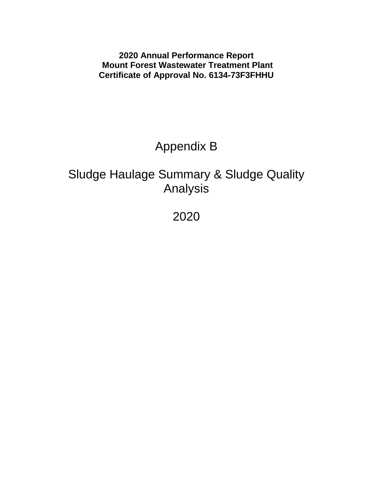**2020 Annual Performance Report Mount Forest Wastewater Treatment Plant Certificate of Approval No. 6134-73F3FHHU**

# Appendix B

# Sludge Haulage Summary & Sludge Quality Analysis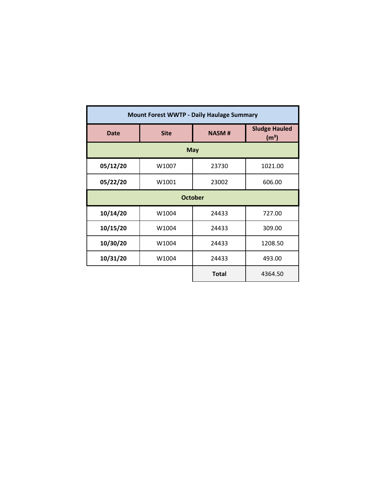| <b>Mount Forest WWTP - Daily Haulage Summary</b> |             |                                           |         |  |  |  |  |  |  |  |  |  |  |
|--------------------------------------------------|-------------|-------------------------------------------|---------|--|--|--|--|--|--|--|--|--|--|
| <b>Date</b>                                      | <b>Site</b> | <b>Sludge Hauled</b><br>(m <sup>3</sup> ) |         |  |  |  |  |  |  |  |  |  |  |
|                                                  | <b>May</b>  |                                           |         |  |  |  |  |  |  |  |  |  |  |
| 05/12/20                                         | W1007       | 23730                                     | 1021.00 |  |  |  |  |  |  |  |  |  |  |
| 05/22/20                                         | W1001       | 23002                                     | 606.00  |  |  |  |  |  |  |  |  |  |  |
|                                                  |             | <b>October</b>                            |         |  |  |  |  |  |  |  |  |  |  |
| 10/14/20                                         | W1004       | 24433                                     | 727.00  |  |  |  |  |  |  |  |  |  |  |
| 10/15/20                                         | W1004       | 24433                                     | 309.00  |  |  |  |  |  |  |  |  |  |  |
| 10/30/20                                         | W1004       | 24433                                     | 1208.50 |  |  |  |  |  |  |  |  |  |  |
| 10/31/20                                         | W1004       | 24433                                     | 493.00  |  |  |  |  |  |  |  |  |  |  |
|                                                  |             | <b>Total</b>                              | 4364.50 |  |  |  |  |  |  |  |  |  |  |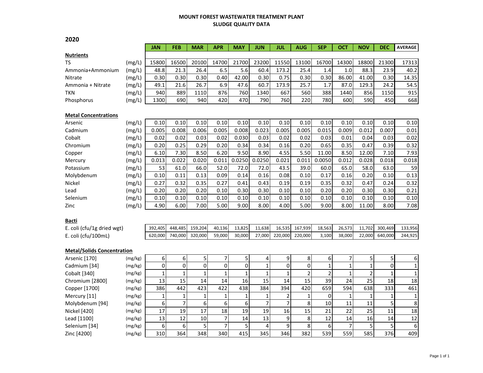#### **MOUNT FOREST WASTEWATER TREATMENT PLANT SLUDGE QUALITY DATA**

|                                   |         | <b>JAN</b>   | FEB            | <b>MAR</b>   | <b>APR</b>     | MAY          | <b>JUN</b>     | JUL                     | <b>AUG</b>     | <b>SEP</b>     | ОСТ            | <b>NOV</b>     | DEC            | <b>AVERAGE</b>  |
|-----------------------------------|---------|--------------|----------------|--------------|----------------|--------------|----------------|-------------------------|----------------|----------------|----------------|----------------|----------------|-----------------|
| <b>Nutrients</b>                  |         |              |                |              |                |              |                |                         |                |                |                |                |                |                 |
| <b>TS</b>                         | (mg/L)  | 15800        | 16500          | 20100        | 14700          | 21700        | 23200          | 11550                   | 13100          | 16700          | 14300          | 18800          | 21300          | 17313           |
| Ammonia+Ammonium                  | (mg/L)  | 48.8         | 21.3           | 26.4         | 6.5            | 5.6          | 60.4           | 173.2                   | 25.4           | 1.4            | 1.0            | 88.3           | 23.9           | 40.2            |
| Nitrate                           | (mg/L)  | 0.30         | 0.30           | 0.30         | 0.40           | 42.00        | 0.30           | 0.75                    | 0.30           | 0.30           | 86.00          | 41.00          | 0.30           | 14.35           |
| Ammonia + Nitrate                 | (mg/L)  | 49.1         | 21.6           | 26.7         | 6.9            | 47.6         | 60.7           | 173.9                   | 25.7           | 1.7            | 87.0           | 129.3          | 24.2           | 54.5            |
| <b>TKN</b>                        | (mg/L)  | 940          | 889            | 1110         | 876            | 760          | 1340           | 667                     | 560            | 388            | 1440           | 856            | 1150           | 915             |
| Phosphorus                        | (mg/L)  | 1300         | 690            | 940          | 420            | 470          | 790            | 760                     | 220            | 780            | 600            | 590            | 450            | 668             |
|                                   |         |              |                |              |                |              |                |                         |                |                |                |                |                |                 |
| <b>Metal Concentrations</b>       |         |              |                |              |                |              |                |                         |                |                |                |                |                |                 |
| Arsenic                           | (mg/L)  | 0.10         | 0.10           | 0.10         | 0.10           | 0.10         | 0.10           | 0.10                    | 0.10           | 0.10           | 0.10           | 0.10           | 0.10           | 0.10            |
| Cadmium                           | (mg/L)  | 0.005        | 0.008          | 0.006        | 0.005          | 0.008        | 0.023          | 0.005                   | 0.005          | 0.015          | 0.009          | 0.012          | 0.007          | 0.01            |
| Cobalt                            | (mg/L)  | 0.02         | 0.02           | 0.03         | 0.02           | 0.030        | 0.03           | 0.02                    | 0.02           | 0.03           | 0.01           | 0.04           | 0.03           | 0.02            |
| Chromium                          | (mg/L)  | 0.20         | 0.25           | 0.29         | 0.20           | 0.34         | 0.34           | 0.16                    | 0.20           | 0.65           | 0.35           | 0.47           | 0.39           | 0.32            |
| Copper                            | (mg/L)  | 6.10         | 7.30           | 8.50         | 6.20           | 9.50         | 8.90           | 4.55                    | 5.50           | 11.00          | 8.50           | 12.00          | 7.10           | 7.93            |
| Mercury                           | (mg/L)  | 0.013        | 0.022          | 0.020        | 0.011          | 0.0250       | 0.0250         | 0.021                   | 0.011          | 0.0050         | 0.012          | 0.028          | 0.018          | 0.018           |
| Potassium                         | (mg/L)  | 53           | 61.0           | 66.0         | 52.0           | 72.0         | 72.0           | 43.5                    | 39.0           | 60.0           | 65.0           | 58.0           | 63.0           | 59              |
| Molybdenum                        | (mg/L)  | 0.10         | 0.11           | 0.13         | 0.09           | 0.14         | 0.16           | 0.08                    | 0.10           | 0.17           | 0.16           | 0.20           | 0.10           | 0.13            |
| Nickel                            | (mg/L)  | 0.27         | 0.32           | 0.35         | 0.27           | 0.41         | 0.43           | 0.19                    | 0.19           | 0.35           | 0.32           | 0.47           | 0.24           | 0.32            |
| Lead                              | (mg/L)  | 0.20         | 0.20           | 0.20         | 0.10           | 0.30         | 0.30           | 0.10                    | 0.10           | 0.20           | 0.20           | 0.30           | 0.30           | 0.21            |
| Selenium                          | (mg/L)  | 0.10         | 0.10           | 0.10         | 0.10           | 0.10         | 0.10           | 0.10                    | 0.10           | 0.10           | 0.10           | 0.10           | 0.10           | 0.10            |
| Zinc                              | (mg/L)  | 4.90         | 6.00           | 7.00         | 5.00           | 9.00         | 8.00           | 4.00                    | 5.00           | 9.00           | 8.00           | 11.00          | 8.00           | 7.08            |
|                                   |         |              |                |              |                |              |                |                         |                |                |                |                |                |                 |
| Bacti                             |         |              |                |              |                |              |                |                         |                |                |                |                |                |                 |
| E. coli (cfu/1g dried wgt)        |         | 392,405      | 448,485        | 159,204      | 40,136         | 13,825       | 11,638         | 16,535                  | 167,939        | 18,563         | 26,573         | 11,702         | 300,469        | 133,956         |
| E. coli (cfu/100mL)               |         | 620,000      | 740,000        | 320,000      | 59,000         | 30,000       | 27,000         | 220,000                 | 220,000        | 3,100          | 38,000         | 22,000         | 640,000        | 244,925         |
|                                   |         |              |                |              |                |              |                |                         |                |                |                |                |                |                 |
| <b>Metal/Solids Concentration</b> |         |              |                |              |                |              |                |                         |                |                |                |                |                |                 |
| Arsenic [170]                     | (mg/kg) | 6            | 6              | 5            | 7              | 5            | 4              | $\boldsymbol{9}$        | 8              | 6              | 7              | 5              | 5 <sup>1</sup> | 6               |
| Cadmium [34]                      | (mg/kg) | 0            | $\mathbf 0$    | 0            | 0              | 0            | $\mathbf{1}$   | $\mathbf 0$             | 0              | $\overline{1}$ | $\mathbf 1$    | $\mathbf 1$    | 0              | $\mathbf 1$     |
| Cobalt [340]                      | (mg/kg) | $\mathbf{1}$ | $\mathbf{1}$   | $\mathbf{1}$ | $\mathbf{1}$   | $\mathbf{1}$ | $\mathbf{1}$   | $\mathbf 1$             | $\overline{2}$ | $\overline{2}$ | $\mathbf{1}$   | $\overline{2}$ | $\mathbf{1}$   | $\mathbf{1}$    |
| Chromium [2800]                   | (mg/kg) | 13           | 15             | 14           | 14             | 16           | 15             | 14                      | 15             | 39             | 24             | 25             | 18             | 18              |
| Copper [1700]                     | (mg/kg) | 386          | 442            | 423          | 422            | 438          | 384            | 394                     | 420            | 659            | 594            | 638            | 333            | 461             |
| Mercury [11]                      | (mg/kg) | 1            | $\mathbf{1}$   | $\mathbf{1}$ | $\mathbf 1$    | $\mathbf 1$  | $\mathbf{1}$   | $\overline{\mathbf{c}}$ | 1              | 0              | $\mathbf{1}$   | $\mathbf 1$    | $\mathbf{1}$   | $\mathbf 1$     |
| Molybdenum [94]                   | (mg/kg) | 6            | $\overline{7}$ | 6            | 6              | 6            | $\overline{7}$ | $\overline{7}$          | 8              | 10             | 11             | 11             | 5              | 8               |
| Nickel [420]                      | (mg/kg) | 17           | 19             | 17           | 18             | 19           | 19             | 16                      | 15             | 21             | 22             | 25             | 11             | 18              |
| Lead [1100]                       | (mg/kg) | 13           | 12             | 10           | $\overline{7}$ | 14           | 13             | 9                       | 8              | 12             | 14             | 16             | 14             | $\overline{12}$ |
| Selenium [34]                     | (mg/kg) | 6            | 6              | 5            | $\overline{7}$ | 5            | 4              | 9                       | 8              | 6              | $\overline{7}$ | 5              | 5              | 6               |
| Zinc [4200]                       | (mg/kg) | 310          | 364            | 348          | 340            | 415          | 345            | 346                     | 382            | 539            | 559            | 585            | 376            | 409             |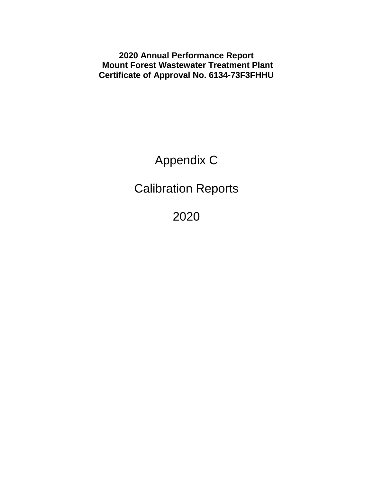**2020 Annual Performance Report Mount Forest Wastewater Treatment Plant Certificate of Approval No. 6134-73F3FHHU**

Appendix C

Calibration Reports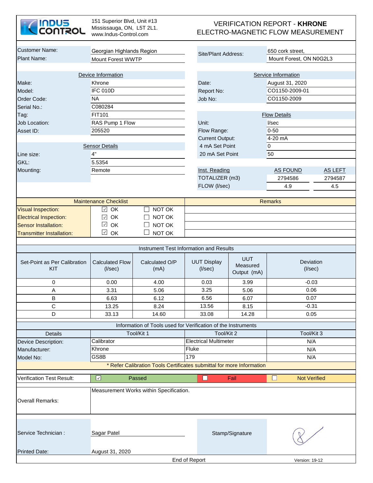

151 Superior Blvd, Unit #13 Mississauga, ON, L5T 2L1. www.Indus-Control.com

#### VERIFICATION REPORT - **KHRONE**  ELECTRO-MAGNETIC FLOW MEASUREMENT

| <b>Customer Name:</b>               |                                         |                                                                       |                                     |                        |                                       | 650 cork street,                    |                |  |  |
|-------------------------------------|-----------------------------------------|-----------------------------------------------------------------------|-------------------------------------|------------------------|---------------------------------------|-------------------------------------|----------------|--|--|
| <b>Plant Name:</b>                  | Georgian Highlands Region               |                                                                       |                                     | Site/Plant Address:    |                                       | Mount Forest, ON N0G2L3             |                |  |  |
|                                     | <b>Mount Forest WWTP</b>                |                                                                       |                                     |                        |                                       |                                     |                |  |  |
|                                     | Device Information                      |                                                                       |                                     |                        |                                       | Service Information                 |                |  |  |
| Make:                               | Khrone                                  |                                                                       | Date:                               |                        |                                       | August 31, 2020                     |                |  |  |
| Model:                              | <b>IFC 010D</b>                         |                                                                       | Report No:                          |                        |                                       | CO1150-2009-01                      |                |  |  |
| Order Code:                         | <b>NA</b>                               |                                                                       | Job No:                             |                        |                                       | CO1150-2009                         |                |  |  |
| Serial No.:                         | C080284                                 |                                                                       |                                     |                        |                                       |                                     |                |  |  |
| Tag:                                | <b>FIT101</b>                           |                                                                       |                                     |                        |                                       | <b>Flow Details</b>                 |                |  |  |
| <b>Job Location:</b>                | RAS Pump 1 Flow                         |                                                                       | Unit:                               |                        |                                       | I/sec                               |                |  |  |
| Asset ID:                           | 205520                                  |                                                                       | Flow Range:                         |                        |                                       | $0 - 50$                            |                |  |  |
|                                     |                                         |                                                                       |                                     | <b>Current Output:</b> |                                       | 4-20 mA                             |                |  |  |
|                                     | <b>Sensor Details</b>                   |                                                                       |                                     | 4 mA Set Point         |                                       | $\overline{0}$                      |                |  |  |
| Line size:                          | 4"                                      |                                                                       |                                     | 20 mA Set Point        |                                       | 50                                  |                |  |  |
| GKL:                                | 5.5354                                  |                                                                       |                                     |                        |                                       |                                     |                |  |  |
| Mounting:                           | Remote                                  |                                                                       | Inst. Reading                       |                        |                                       | <b>AS FOUND</b>                     | <b>AS LEFT</b> |  |  |
|                                     |                                         |                                                                       |                                     | TOTALIZER (m3)         |                                       | 2794586                             | 2794587        |  |  |
|                                     |                                         |                                                                       | FLOW (I/sec)                        |                        |                                       | 4.9                                 | 4.5            |  |  |
|                                     |                                         |                                                                       |                                     |                        |                                       |                                     |                |  |  |
|                                     | <b>Maintenance Checklist</b>            |                                                                       |                                     |                        |                                       | <b>Remarks</b>                      |                |  |  |
| <b>Visual Inspection:</b>           | OK<br>$\checkmark$                      | NOT OK                                                                |                                     |                        |                                       |                                     |                |  |  |
| <b>Electrical Inspection:</b>       | OK<br>$\checkmark$                      | NOT OK                                                                |                                     |                        |                                       |                                     |                |  |  |
| <b>Sensor Installation:</b>         | $\checkmark$<br>OK                      | NOT OK                                                                |                                     |                        |                                       |                                     |                |  |  |
| <b>Transmitter Installation:</b>    | $\checkmark$<br>OK                      | NOT OK                                                                |                                     |                        |                                       |                                     |                |  |  |
|                                     |                                         |                                                                       |                                     |                        |                                       |                                     |                |  |  |
|                                     |                                         | Instrument Test Information and Results                               |                                     |                        |                                       |                                     |                |  |  |
| Set-Point as Per Calibration<br>KIT | <b>Calculated Flow</b><br>$($ l/sec $)$ | Calculated O/P<br>(mA)                                                | <b>UUT Display</b><br>$($ I/sec $)$ |                        | <b>UUT</b><br>Measured<br>Output (mA) | Deviation<br>$($ l/sec $)$          |                |  |  |
| 0                                   | 0.00                                    | 4.00                                                                  | 0.03                                |                        | 3.99                                  | $-0.03$                             |                |  |  |
| Α                                   | 3.31                                    | 5.06                                                                  | 3.25                                |                        | 5.06                                  | 0.06                                |                |  |  |
| $\sf B$                             | 6.63                                    | 6.12                                                                  | 6.56                                |                        | 6.07                                  | 0.07                                |                |  |  |
| $\mathsf C$                         | 13.25                                   | 8.24                                                                  | 13.56                               |                        | 8.15                                  | $-0.31$                             |                |  |  |
| D                                   | 33.13                                   | 14.60                                                                 | 33.08                               |                        | 14.28                                 | 0.05                                |                |  |  |
|                                     |                                         | Information of Tools used for Verification of the Instruments         |                                     |                        |                                       |                                     |                |  |  |
| <b>Details</b>                      |                                         | Tool/Kit 1                                                            |                                     | Tool/Kit 2             |                                       | Tool/Kit 3                          |                |  |  |
| Device Description:                 | Calibrator                              |                                                                       | <b>Electrical Multimeter</b>        |                        |                                       | N/A                                 |                |  |  |
| Manufacturer:                       | Khrone                                  |                                                                       | Fluke                               |                        |                                       | N/A                                 |                |  |  |
| Model No:                           | GS8B                                    |                                                                       | 179                                 |                        |                                       | N/A                                 |                |  |  |
|                                     |                                         | * Refer Calibration Tools Certificates submittal for more Information |                                     |                        |                                       |                                     |                |  |  |
|                                     |                                         |                                                                       |                                     |                        |                                       |                                     |                |  |  |
| <b>Verification Test Result:</b>    | $\overline{\mathcal{L}}$                | Passed                                                                | O                                   | Fail                   |                                       | $\mathsf{L}$<br><b>Not Verified</b> |                |  |  |
| <b>Overall Remarks:</b>             |                                         | Measurement Works within Specification.                               |                                     |                        |                                       |                                     |                |  |  |
| Service Technician :                | Sagar Patel                             |                                                                       |                                     | Stamp/Signature        |                                       |                                     |                |  |  |
| <b>Printed Date:</b>                | August 31, 2020                         |                                                                       |                                     |                        |                                       |                                     |                |  |  |
|                                     |                                         |                                                                       | End of Report                       |                        |                                       | Version: 19-12                      |                |  |  |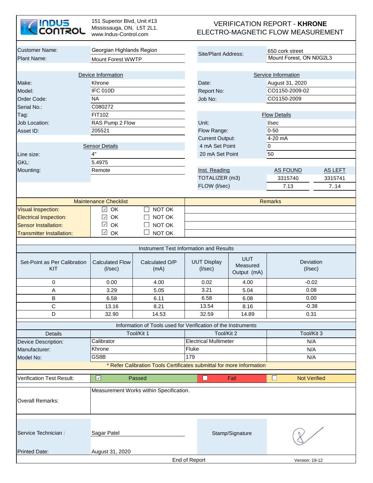| <b>INDUS</b><br><b>CONTROL</b>      | 151 Superior Blvd, Unit #13<br>Mississauga, ON, L5T 2L1.<br>www.Indus-Control.com |                                                                       |                                     | <b>VERIFICATION REPORT - KHRONE</b><br>ELECTRO-MAGNETIC FLOW MEASUREMENT |                            |                |  |  |  |  |  |
|-------------------------------------|-----------------------------------------------------------------------------------|-----------------------------------------------------------------------|-------------------------------------|--------------------------------------------------------------------------|----------------------------|----------------|--|--|--|--|--|
| <b>Customer Name:</b>               | Georgian Highlands Region                                                         |                                                                       |                                     |                                                                          | 650 cork street            |                |  |  |  |  |  |
| <b>Plant Name:</b>                  | <b>Mount Forest WWTP</b>                                                          |                                                                       | Site/Plant Address:                 |                                                                          | Mount Forest, ON N0G2L3    |                |  |  |  |  |  |
|                                     |                                                                                   |                                                                       |                                     |                                                                          |                            |                |  |  |  |  |  |
|                                     | Device Information                                                                |                                                                       |                                     |                                                                          | Service Information        |                |  |  |  |  |  |
| Make:                               | Khrone                                                                            |                                                                       | Date:                               |                                                                          | August 31, 2020            |                |  |  |  |  |  |
| Model:                              | <b>IFC 010D</b>                                                                   |                                                                       | Report No:                          |                                                                          | CO1150-2009-02             |                |  |  |  |  |  |
| Order Code:                         | <b>NA</b>                                                                         |                                                                       | Job No:                             |                                                                          | CO1150-2009                |                |  |  |  |  |  |
| Serial No.:                         | C080272                                                                           |                                                                       |                                     |                                                                          |                            |                |  |  |  |  |  |
| Tag:                                | FIT102                                                                            |                                                                       |                                     |                                                                          | <b>Flow Details</b>        |                |  |  |  |  |  |
| Job Location:                       | RAS Pump 2 Flow                                                                   |                                                                       | Unit:                               |                                                                          | V <sub>sec</sub>           |                |  |  |  |  |  |
| Asset ID:                           | 205521                                                                            |                                                                       | Flow Range:                         |                                                                          | $0 - 50$                   |                |  |  |  |  |  |
|                                     |                                                                                   |                                                                       | <b>Current Output:</b>              |                                                                          | 4-20 mA                    |                |  |  |  |  |  |
|                                     | <b>Sensor Details</b>                                                             |                                                                       | 4 mA Set Point                      |                                                                          | 0                          |                |  |  |  |  |  |
| Line size:                          | 4"                                                                                |                                                                       | 20 mA Set Point                     |                                                                          | 50                         |                |  |  |  |  |  |
| GKL:                                | 5.4975                                                                            |                                                                       |                                     |                                                                          |                            |                |  |  |  |  |  |
|                                     | Remote                                                                            |                                                                       | Inst. Reading                       |                                                                          |                            |                |  |  |  |  |  |
| Mounting:                           |                                                                                   |                                                                       | TOTALIZER (m3)                      |                                                                          | <b>AS FOUND</b>            | <b>AS LEFT</b> |  |  |  |  |  |
|                                     |                                                                                   |                                                                       |                                     |                                                                          | 3315740                    | 3315741        |  |  |  |  |  |
|                                     |                                                                                   |                                                                       | FLOW (I/sec)                        |                                                                          | 7.13                       | 7.14           |  |  |  |  |  |
|                                     | <b>Maintenance Checklist</b>                                                      |                                                                       |                                     |                                                                          | <b>Remarks</b>             |                |  |  |  |  |  |
| <b>Visual Inspection:</b>           | OK<br>$\checkmark$                                                                | NOT OK                                                                |                                     |                                                                          |                            |                |  |  |  |  |  |
| <b>Electrical Inspection:</b>       | OK<br>$\checkmark$                                                                | NOT OK                                                                |                                     |                                                                          |                            |                |  |  |  |  |  |
| <b>Sensor Installation:</b>         | $\checkmark$<br>OK                                                                | NOT OK                                                                |                                     |                                                                          |                            |                |  |  |  |  |  |
| <b>Transmitter Installation:</b>    | $\checkmark$<br>OK                                                                | NOT OK                                                                |                                     |                                                                          |                            |                |  |  |  |  |  |
|                                     |                                                                                   |                                                                       |                                     |                                                                          |                            |                |  |  |  |  |  |
|                                     |                                                                                   | Instrument Test Information and Results                               |                                     |                                                                          |                            |                |  |  |  |  |  |
| Set-Point as Per Calibration<br>KIT | <b>Calculated Flow</b><br>$($ l/sec $)$                                           | Calculated O/P<br>(mA)                                                | <b>UUT Display</b><br>$($ //sec $)$ | <b>UUT</b><br>Measured<br>Output (mA)                                    | Deviation<br>$($ l/sec $)$ |                |  |  |  |  |  |
| 0                                   | 0.00                                                                              | 4.00                                                                  | 0.02                                | 4.00                                                                     | $-0.02$                    |                |  |  |  |  |  |
| Α                                   | 3.29                                                                              | 5.05                                                                  | 3.21                                | 5.04                                                                     | 0.08                       |                |  |  |  |  |  |
| В                                   | 6.58                                                                              | 6.11                                                                  | 6.58                                | 6.08                                                                     | 0.00                       |                |  |  |  |  |  |
| С                                   | 13.16                                                                             | 8.21                                                                  | 13.54                               | 8.16                                                                     | $-0.38$                    |                |  |  |  |  |  |
| D                                   | 32.90                                                                             | 14.53                                                                 | 32.59                               | 14.89                                                                    | 0.31                       |                |  |  |  |  |  |
|                                     |                                                                                   | Information of Tools used for Verification of the Instruments         |                                     |                                                                          |                            |                |  |  |  |  |  |
| Details                             |                                                                                   | Tool/Kit 1                                                            | Tool/Kit 2                          |                                                                          | Tool/Kit 3                 |                |  |  |  |  |  |
| Device Description:                 | Calibrator                                                                        |                                                                       | <b>Electrical Multimeter</b>        |                                                                          | N/A                        |                |  |  |  |  |  |
| Manufacturer:                       | Khrone                                                                            |                                                                       | Fluke                               |                                                                          | N/A                        |                |  |  |  |  |  |
| Model No:                           | GS8B                                                                              |                                                                       | 179                                 |                                                                          | N/A                        |                |  |  |  |  |  |
|                                     |                                                                                   | * Refer Calibration Tools Certificates submittal for more Information |                                     |                                                                          |                            |                |  |  |  |  |  |
|                                     | $\checkmark$                                                                      |                                                                       | $\Box$                              | Fail                                                                     | <b>Not Verified</b>        |                |  |  |  |  |  |
| Verification Test Result:           |                                                                                   | Passed                                                                |                                     |                                                                          |                            |                |  |  |  |  |  |
| <b>Overall Remarks:</b>             |                                                                                   | Measurement Works within Specification.                               |                                     |                                                                          |                            |                |  |  |  |  |  |
| Service Technician :                | Sagar Patel                                                                       |                                                                       |                                     | Stamp/Signature                                                          |                            |                |  |  |  |  |  |
| <b>Printed Date:</b>                | August 31, 2020                                                                   |                                                                       |                                     |                                                                          |                            |                |  |  |  |  |  |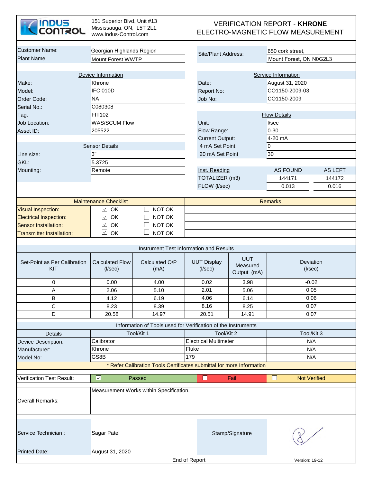| <b>INDUS</b><br><b>CONTROL</b>      | 151 Superior Blvd, Unit #13<br>Mississauga, ON, L5T 2L1.<br>www.Indus-Control.com |                                                                       |                               |                                       | <b>VERIFICATION REPORT - KHRONE</b><br>ELECTRO-MAGNETIC FLOW MEASUREMENT |                |  |
|-------------------------------------|-----------------------------------------------------------------------------------|-----------------------------------------------------------------------|-------------------------------|---------------------------------------|--------------------------------------------------------------------------|----------------|--|
| <b>Customer Name:</b>               | Georgian Highlands Region                                                         |                                                                       |                               |                                       | 650 cork street,                                                         |                |  |
| <b>Plant Name:</b>                  | Mount Forest WWTP                                                                 |                                                                       | Site/Plant Address:           |                                       | Mount Forest, ON N0G2L3                                                  |                |  |
|                                     |                                                                                   |                                                                       |                               |                                       |                                                                          |                |  |
|                                     | Device Information                                                                |                                                                       |                               |                                       | Service Information                                                      |                |  |
| Make:                               | Khrone                                                                            |                                                                       | Date:                         |                                       | August 31, 2020                                                          |                |  |
| Model:                              | <b>IFC 010D</b>                                                                   |                                                                       | Report No:                    |                                       | CO1150-2009-03                                                           |                |  |
| Order Code:                         | <b>NA</b>                                                                         |                                                                       | Job No:                       |                                       | CO1150-2009                                                              |                |  |
| Serial No.:                         | C080308                                                                           |                                                                       |                               |                                       |                                                                          |                |  |
| Tag:                                | FIT102                                                                            |                                                                       |                               |                                       | <b>Flow Details</b>                                                      |                |  |
| Job Location:                       | <b>WAS/SCUM Flow</b>                                                              |                                                                       | Unit:                         |                                       | V <sub>sec</sub>                                                         |                |  |
| Asset ID:                           | 205522                                                                            |                                                                       | Flow Range:                   |                                       | $0 - 30$                                                                 |                |  |
|                                     |                                                                                   |                                                                       | <b>Current Output:</b>        |                                       | 4-20 mA                                                                  |                |  |
|                                     | <b>Sensor Details</b>                                                             |                                                                       | 4 mA Set Point                |                                       | $\overline{0}$                                                           |                |  |
| Line size:                          | 3"                                                                                |                                                                       | 20 mA Set Point               |                                       | 30                                                                       |                |  |
| GKL:                                | 5.3725                                                                            |                                                                       |                               |                                       |                                                                          |                |  |
|                                     | Remote                                                                            |                                                                       |                               |                                       |                                                                          |                |  |
| Mounting:                           |                                                                                   |                                                                       | Inst. Reading                 |                                       | <b>AS FOUND</b>                                                          | <b>AS LEFT</b> |  |
|                                     |                                                                                   |                                                                       | TOTALIZER (m3)                |                                       | 144171                                                                   | 144172         |  |
|                                     |                                                                                   |                                                                       | FLOW (I/sec)                  |                                       | 0.013                                                                    | 0.016          |  |
|                                     | <b>Maintenance Checklist</b>                                                      |                                                                       |                               |                                       | <b>Remarks</b>                                                           |                |  |
| <b>Visual Inspection:</b>           | $\vee$ OK                                                                         | NOT OK                                                                |                               |                                       |                                                                          |                |  |
| <b>Electrical Inspection:</b>       | OK<br>$\checkmark$                                                                | NOT OK                                                                |                               |                                       |                                                                          |                |  |
| <b>Sensor Installation:</b>         | $\checkmark$<br>OK                                                                | NOT OK                                                                |                               |                                       |                                                                          |                |  |
| <b>Transmitter Installation:</b>    | $\overline{\sim}$ OK                                                              | NOT OK                                                                |                               |                                       |                                                                          |                |  |
|                                     |                                                                                   |                                                                       |                               |                                       |                                                                          |                |  |
|                                     |                                                                                   | Instrument Test Information and Results                               |                               |                                       |                                                                          |                |  |
| Set-Point as Per Calibration<br>KIT | <b>Calculated Flow</b><br>$($ l/sec $)$                                           | Calculated O/P<br>(mA)                                                | <b>UUT Display</b><br>(I/sec) | <b>UUT</b><br>Measured<br>Output (mA) | Deviation<br>$($ l/sec $)$                                               |                |  |
| 0                                   | 0.00                                                                              | 4.00                                                                  | 0.02                          | 3.98                                  | $-0.02$                                                                  |                |  |
| A                                   | 2.06                                                                              | 5.10                                                                  | 2.01                          | 5.06                                  | 0.05                                                                     |                |  |
| В                                   | 4.12                                                                              | 6.19                                                                  | 4.06                          | 6.14                                  | 0.06                                                                     |                |  |
| С                                   | 8.23                                                                              | 8.39                                                                  | 8.16                          | 8.25                                  | 0.07                                                                     |                |  |
| D                                   | 20.58                                                                             | 14.97                                                                 | 20.51                         | 14.91                                 | 0.07                                                                     |                |  |
|                                     |                                                                                   | Information of Tools used for Verification of the Instruments         |                               |                                       |                                                                          |                |  |
| Details                             |                                                                                   | Tool/Kit 1                                                            | Tool/Kit 2                    |                                       | Tool/Kit 3                                                               |                |  |
| Device Description:                 | Calibrator                                                                        |                                                                       | <b>Electrical Multimeter</b>  |                                       | N/A                                                                      |                |  |
| Manufacturer:                       | Khrone                                                                            |                                                                       | Fluke                         |                                       | N/A                                                                      |                |  |
| Model No:                           | GS8B                                                                              |                                                                       | 179                           |                                       | N/A                                                                      |                |  |
|                                     |                                                                                   | * Refer Calibration Tools Certificates submittal for more Information |                               |                                       |                                                                          |                |  |
|                                     |                                                                                   |                                                                       |                               |                                       |                                                                          |                |  |
| <b>Verification Test Result:</b>    | $\blacktriangledown$                                                              | Passed                                                                | $\Box$                        | Fail                                  | <b>Not Verified</b><br>⊔                                                 |                |  |
| <b>Overall Remarks:</b>             |                                                                                   | Measurement Works within Specification.                               |                               |                                       |                                                                          |                |  |
| Service Technician :                | Sagar Patel                                                                       |                                                                       |                               | Stamp/Signature                       |                                                                          |                |  |
| <b>Printed Date:</b>                | August 31, 2020                                                                   |                                                                       |                               |                                       |                                                                          |                |  |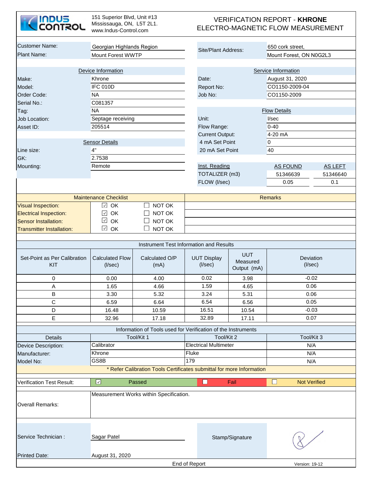| <b>INDUS<br/>CONTROL</b>            | 151 Superior Blvd, Unit #13<br>Mississauga, ON, L5T 2L1.<br>www.Indus-Control.com |                                                                       |                                         |                                       | <b>VERIFICATION REPORT - KHRONE</b><br>ELECTRO-MAGNETIC FLOW MEASUREMENT |                |
|-------------------------------------|-----------------------------------------------------------------------------------|-----------------------------------------------------------------------|-----------------------------------------|---------------------------------------|--------------------------------------------------------------------------|----------------|
| <b>Customer Name:</b>               | Georgian Highlands Region                                                         |                                                                       | Site/Plant Address:                     |                                       | 650 cork street,                                                         |                |
| Plant Name:                         | Mount Forest WWTP                                                                 |                                                                       |                                         |                                       | Mount Forest, ON N0G2L3                                                  |                |
|                                     |                                                                                   |                                                                       |                                         |                                       |                                                                          |                |
|                                     | Device Information                                                                |                                                                       |                                         |                                       | Service Information                                                      |                |
| Make:                               | Khrone<br>IFC 010D                                                                |                                                                       | Date:                                   |                                       | August 31, 2020                                                          |                |
| Model:                              |                                                                                   |                                                                       | Report No:                              |                                       | CO1150-2009-04                                                           |                |
| Order Code:                         | <b>NA</b>                                                                         |                                                                       | Job No:                                 |                                       | CO1150-2009                                                              |                |
| Serial No.:                         | C081357                                                                           |                                                                       |                                         |                                       |                                                                          |                |
| Tag:                                | <b>NA</b>                                                                         |                                                                       |                                         |                                       | <b>Flow Details</b>                                                      |                |
| Job Location:                       | Septage receiving                                                                 |                                                                       | Unit:                                   |                                       | l/sec                                                                    |                |
| Asset ID:                           | 205514                                                                            |                                                                       | Flow Range:                             |                                       | $0 - 40$                                                                 |                |
|                                     |                                                                                   |                                                                       | <b>Current Output:</b>                  |                                       | 4-20 mA                                                                  |                |
|                                     | <b>Sensor Details</b>                                                             |                                                                       | 4 mA Set Point                          |                                       | 0                                                                        |                |
| Line size:                          | 4"                                                                                |                                                                       | 20 mA Set Point                         |                                       | 40                                                                       |                |
| GK:                                 | 2.7538                                                                            |                                                                       |                                         |                                       |                                                                          |                |
| Mounting:                           | Remote                                                                            |                                                                       | Inst. Reading                           |                                       | <b>AS FOUND</b>                                                          | <b>AS LEFT</b> |
|                                     |                                                                                   |                                                                       | TOTALIZER (m3)                          |                                       | 51346639                                                                 | 51346640       |
|                                     |                                                                                   |                                                                       | FLOW (I/sec)                            |                                       | 0.05                                                                     | 0.1            |
|                                     | <b>Maintenance Checklist</b>                                                      |                                                                       |                                         |                                       | <b>Remarks</b>                                                           |                |
| <b>Visual Inspection:</b>           | OK<br>$\checkmark$                                                                | NOT OK<br>$\Box$                                                      |                                         |                                       |                                                                          |                |
| <b>Electrical Inspection:</b>       | OK<br>$\checkmark$                                                                | NOT OK                                                                |                                         |                                       |                                                                          |                |
| <b>Sensor Installation:</b>         | $\checkmark$<br>OK                                                                | NOT OK                                                                |                                         |                                       |                                                                          |                |
|                                     | $\checkmark$<br>OK                                                                | $\Box$<br>NOT OK                                                      |                                         |                                       |                                                                          |                |
| <b>Transmitter Installation:</b>    |                                                                                   |                                                                       |                                         |                                       |                                                                          |                |
|                                     |                                                                                   |                                                                       | Instrument Test Information and Results |                                       |                                                                          |                |
| Set-Point as Per Calibration<br>KIT | <b>Calculated Flow</b><br>$($ l/sec $)$                                           | Calculated O/P<br>(mA)                                                | <b>UUT Display</b><br>$($ l/sec $)$     | <b>UUT</b><br>Measured<br>Output (mA) | Deviation<br>$($ l/sec $)$                                               |                |
| 0                                   | 0.00                                                                              | 4.00                                                                  | 0.02                                    | 3.98                                  | $-0.02$                                                                  |                |
| A                                   | 1.65                                                                              | 4.66                                                                  | 1.59                                    | 4.65                                  | 0.06                                                                     |                |
| B                                   | 3.30                                                                              | 5.32                                                                  | 3.24                                    | 5.31                                  | 0.06                                                                     |                |
| C                                   | 6.59                                                                              | 6.64                                                                  | 6.54                                    | 6.56                                  | 0.05                                                                     |                |
| D                                   | 16.48                                                                             | 10.59                                                                 | 16.51                                   | 10.54                                 | $-0.03$                                                                  |                |
| E                                   | 32.96                                                                             | 17.18                                                                 | 32.89                                   | 17.11                                 | 0.07                                                                     |                |
|                                     |                                                                                   |                                                                       |                                         |                                       |                                                                          |                |
|                                     |                                                                                   | Information of Tools used for Verification of the Instruments         |                                         |                                       |                                                                          |                |
| Details                             |                                                                                   | Tool/Kit 1                                                            | Tool/Kit 2                              |                                       | Tool/Kit 3                                                               |                |
| Device Description:                 | Calibrator                                                                        |                                                                       | <b>Electrical Multimeter</b>            |                                       | N/A                                                                      |                |
| Manufacturer:                       | Khrone                                                                            |                                                                       | Fluke                                   |                                       | N/A                                                                      |                |
| Model No:                           | GS8B                                                                              | * Refer Calibration Tools Certificates submittal for more Information | 179                                     |                                       | N/A                                                                      |                |
|                                     | $\boxed{\vee}$                                                                    |                                                                       |                                         |                                       |                                                                          |                |
| Verification Test Result:           |                                                                                   | Passed                                                                | $\Box$                                  | Fail                                  | <b>Not Verified</b><br><b>Tara</b>                                       |                |
| <b>Overall Remarks:</b>             |                                                                                   | Measurement Works within Specification.                               |                                         |                                       |                                                                          |                |
| Service Technician :                | Sagar Patel                                                                       |                                                                       |                                         | Stamp/Signature                       |                                                                          |                |
| <b>Printed Date:</b>                | August 31, 2020                                                                   |                                                                       |                                         |                                       |                                                                          |                |
|                                     |                                                                                   |                                                                       | End of Report                           |                                       | Version: 19-12                                                           |                |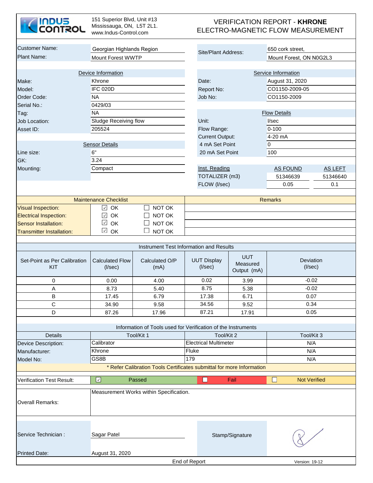| <b>INDUS<br/>CONTROL</b>            | 151 Superior Blvd, Unit #13<br>Mississauga, ON, L5T 2L1.<br>www.Indus-Control.com |                                                                       |                                         |                 | <b>VERIFICATION REPORT - KHRONE</b><br>ELECTRO-MAGNETIC FLOW MEASUREMENT |          |  |
|-------------------------------------|-----------------------------------------------------------------------------------|-----------------------------------------------------------------------|-----------------------------------------|-----------------|--------------------------------------------------------------------------|----------|--|
| Customer Name:                      | Georgian Highlands Region                                                         |                                                                       |                                         |                 | 650 cork street,                                                         |          |  |
| Plant Name:                         | <b>Mount Forest WWTP</b>                                                          |                                                                       | Site/Plant Address:                     |                 | Mount Forest, ON N0G2L3                                                  |          |  |
|                                     |                                                                                   |                                                                       |                                         |                 |                                                                          |          |  |
|                                     | Device Information                                                                |                                                                       |                                         |                 | Service Information                                                      |          |  |
| Make:                               | Khrone                                                                            |                                                                       | Date:                                   |                 | August 31, 2020                                                          |          |  |
| Model:                              | <b>IFC 020D</b>                                                                   |                                                                       | Report No:                              |                 | CO1150-2009-05                                                           |          |  |
| Order Code:                         | <b>NA</b>                                                                         |                                                                       | Job No:                                 |                 | CO1150-2009                                                              |          |  |
| Serial No.:                         | 0429/03                                                                           |                                                                       |                                         |                 |                                                                          |          |  |
| Tag:                                | <b>NA</b>                                                                         |                                                                       |                                         |                 | <b>Flow Details</b>                                                      |          |  |
| Job Location:                       | Sludge Receiving flow                                                             |                                                                       | Unit:                                   |                 | V <sub>sec</sub>                                                         |          |  |
| Asset ID:                           | 205524                                                                            |                                                                       | Flow Range:                             |                 | $0 - 100$                                                                |          |  |
|                                     |                                                                                   |                                                                       | <b>Current Output:</b>                  |                 | 4-20 mA                                                                  |          |  |
|                                     | <b>Sensor Details</b>                                                             |                                                                       | 4 mA Set Point                          |                 | $\overline{0}$                                                           |          |  |
| Line size:                          | 6"                                                                                |                                                                       | 20 mA Set Point                         |                 | 100                                                                      |          |  |
| GK:                                 | 3.24                                                                              |                                                                       |                                         |                 |                                                                          |          |  |
| Mounting:                           | Compact                                                                           |                                                                       | Inst. Reading                           |                 | AS FOUND                                                                 | AS LEFT  |  |
|                                     |                                                                                   |                                                                       | TOTALIZER (m3)                          |                 | 51346639                                                                 | 51346640 |  |
|                                     |                                                                                   |                                                                       | FLOW (I/sec)                            |                 | 0.05                                                                     | 0.1      |  |
|                                     |                                                                                   |                                                                       |                                         |                 |                                                                          |          |  |
|                                     | <b>Maintenance Checklist</b>                                                      |                                                                       |                                         |                 | <b>Remarks</b>                                                           |          |  |
| <b>Visual Inspection:</b>           | $\checkmark$<br>OK                                                                | NOT OK                                                                |                                         |                 |                                                                          |          |  |
| <b>Electrical Inspection:</b>       | OK<br>$\checkmark$<br>$\checkmark$<br>OK                                          | NOT OK                                                                |                                         |                 |                                                                          |          |  |
| <b>Sensor Installation:</b>         | $\checkmark$<br>OK                                                                | NOT OK<br>NOT OK                                                      |                                         |                 |                                                                          |          |  |
| <b>Transmitter Installation:</b>    |                                                                                   |                                                                       |                                         |                 |                                                                          |          |  |
|                                     |                                                                                   |                                                                       | Instrument Test Information and Results |                 |                                                                          |          |  |
|                                     |                                                                                   |                                                                       |                                         | <b>UUT</b>      |                                                                          |          |  |
| Set-Point as Per Calibration<br>KIT | <b>Calculated Flow</b><br>(I/sec)                                                 | Calculated O/P<br>(mA)                                                | <b>UUT Display</b><br>$($ l/sec $)$     | Measured        | Deviation<br>$($ I/sec $)$                                               |          |  |
|                                     |                                                                                   |                                                                       |                                         | Output (mA)     |                                                                          |          |  |
| 0                                   | 0.00                                                                              | 4.00                                                                  | 0.02                                    | 3.99            | $-0.02$                                                                  |          |  |
| Α                                   | 8.73                                                                              | 5.40                                                                  | 8.75                                    | 5.38            | $-0.02$                                                                  |          |  |
| B                                   | 17.45                                                                             | 6.79                                                                  | 17.38                                   | 6.71            | 0.07                                                                     |          |  |
| $\mathbf C$                         | 34.90                                                                             | 9.58                                                                  | 34.56                                   | 9.52            | 0.34                                                                     |          |  |
| D                                   | 87.26                                                                             | 17.96                                                                 | 87.21                                   | 17.91           | 0.05                                                                     |          |  |
|                                     |                                                                                   | Information of Tools used for Verification of the Instruments         |                                         |                 |                                                                          |          |  |
| Details                             |                                                                                   | Tool/Kit 1                                                            | Tool/Kit 2                              |                 | Tool/Kit 3                                                               |          |  |
| Device Description:                 | Calibrator                                                                        |                                                                       | <b>Electrical Multimeter</b>            |                 | N/A                                                                      |          |  |
| Manufacturer:                       | Khrone                                                                            |                                                                       | Fluke                                   |                 | N/A                                                                      |          |  |
| Model No:                           | GS8B                                                                              |                                                                       | 179                                     |                 | N/A                                                                      |          |  |
|                                     |                                                                                   | * Refer Calibration Tools Certificates submittal for more Information |                                         |                 |                                                                          |          |  |
| <b>Verification Test Result:</b>    | $\overline{\mathcal{S}}$                                                          | Passed                                                                | $\Box$                                  | Fail            | <b>Not Verified</b>                                                      |          |  |
|                                     |                                                                                   | Measurement Works within Specification.                               |                                         |                 |                                                                          |          |  |
| <b>Overall Remarks:</b>             |                                                                                   |                                                                       |                                         |                 |                                                                          |          |  |
|                                     |                                                                                   |                                                                       |                                         |                 |                                                                          |          |  |
| Service Technician:                 | Sagar Patel                                                                       |                                                                       |                                         | Stamp/Signature |                                                                          |          |  |
| <b>Printed Date:</b>                | August 31, 2020                                                                   |                                                                       |                                         |                 |                                                                          |          |  |
|                                     |                                                                                   |                                                                       | End of Report                           |                 | Version: 19-12                                                           |          |  |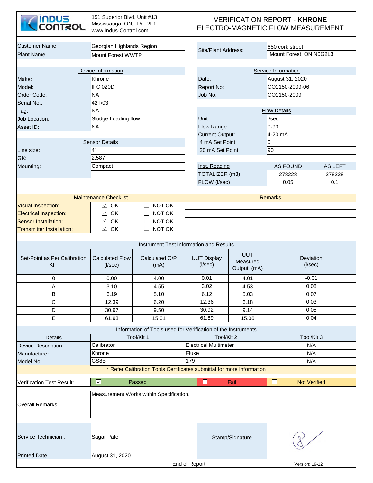| <b>INDUS<br/>CONTROL</b>            | 151 Superior Blvd, Unit #13<br>Mississauga, ON, L5T 2L1.<br>www.Indus-Control.com |                                                                       |                                     | <b>VERIFICATION REPORT - KHRONE</b><br>ELECTRO-MAGNETIC FLOW MEASUREMENT |                            |         |
|-------------------------------------|-----------------------------------------------------------------------------------|-----------------------------------------------------------------------|-------------------------------------|--------------------------------------------------------------------------|----------------------------|---------|
| <b>Customer Name:</b>               | Georgian Highlands Region                                                         |                                                                       |                                     |                                                                          | 650 cork street,           |         |
| Plant Name:                         | Mount Forest WWTP                                                                 |                                                                       | Site/Plant Address:                 |                                                                          | Mount Forest, ON N0G2L3    |         |
|                                     |                                                                                   |                                                                       |                                     |                                                                          |                            |         |
|                                     | Device Information                                                                |                                                                       |                                     |                                                                          | Service Information        |         |
| Make:                               | Khrone                                                                            |                                                                       | Date:                               |                                                                          | August 31, 2020            |         |
| Model:                              | <b>IFC 020D</b>                                                                   |                                                                       | Report No:                          |                                                                          | CO1150-2009-06             |         |
| Order Code:                         | <b>NA</b>                                                                         |                                                                       | Job No:                             |                                                                          | CO1150-2009                |         |
| Serial No.:                         | 42T/03                                                                            |                                                                       |                                     |                                                                          |                            |         |
| Tag:                                | <b>NA</b>                                                                         |                                                                       |                                     |                                                                          | <b>Flow Details</b>        |         |
| Job Location:                       | Sludge Loading flow                                                               |                                                                       | Unit:                               |                                                                          | I/sec                      |         |
| Asset ID:                           | <b>NA</b>                                                                         |                                                                       | Flow Range:                         |                                                                          | $0 - 90$                   |         |
|                                     |                                                                                   |                                                                       | <b>Current Output:</b>              |                                                                          | 4-20 mA                    |         |
|                                     | <b>Sensor Details</b>                                                             |                                                                       | 4 mA Set Point                      |                                                                          | $\overline{0}$             |         |
| Line size:                          | 4"                                                                                |                                                                       | 20 mA Set Point                     |                                                                          | 90                         |         |
| GK:                                 | 2.587                                                                             |                                                                       |                                     |                                                                          |                            |         |
| Mounting:                           | Compact                                                                           |                                                                       | Inst. Reading                       |                                                                          | <b>AS FOUND</b>            | AS LEFT |
|                                     |                                                                                   |                                                                       | TOTALIZER (m3)                      |                                                                          | 278228                     | 278228  |
|                                     |                                                                                   |                                                                       | FLOW (I/sec)                        |                                                                          | 0.05                       | 0.1     |
|                                     | <b>Maintenance Checklist</b>                                                      |                                                                       |                                     |                                                                          | <b>Remarks</b>             |         |
| <b>Visual Inspection:</b>           | OK<br>$\checkmark$                                                                | NOT OK                                                                |                                     |                                                                          |                            |         |
| <b>Electrical Inspection:</b>       | OK<br>$\checkmark$                                                                | NOT OK                                                                |                                     |                                                                          |                            |         |
| <b>Sensor Installation:</b>         | $\checkmark$<br>OK                                                                | NOT OK                                                                |                                     |                                                                          |                            |         |
| <b>Transmitter Installation:</b>    | $\checkmark$<br>OK                                                                | NOT OK                                                                |                                     |                                                                          |                            |         |
|                                     |                                                                                   |                                                                       |                                     |                                                                          |                            |         |
|                                     |                                                                                   | Instrument Test Information and Results                               |                                     |                                                                          |                            |         |
| Set-Point as Per Calibration<br>KIT | <b>Calculated Flow</b><br>$($ l/sec $)$                                           | Calculated O/P<br>(mA)                                                | <b>UUT Display</b><br>$($ l/sec $)$ | <b>UUT</b><br>Measured<br>Output (mA)                                    | Deviation<br>$($ l/sec $)$ |         |
| 0                                   | 0.00                                                                              | 4.00                                                                  | 0.01                                | 4.01                                                                     | $-0.01$                    |         |
| A                                   | 3.10                                                                              | 4.55                                                                  | 3.02                                | 4.53                                                                     | 0.08                       |         |
| В                                   | 6.19                                                                              | 5.10                                                                  | 6.12                                | 5.03                                                                     | 0.07                       |         |
| $\mathbf C$                         | 12.39                                                                             | 6.20                                                                  | 12.36                               | 6.18                                                                     | 0.03                       |         |
| D                                   | 30.97                                                                             | 9.50                                                                  | 30.92                               | 9.14                                                                     | 0.05                       |         |
| Е                                   | 61.93                                                                             | 15.01                                                                 | 61.89                               | 15.06                                                                    | 0.04                       |         |
|                                     |                                                                                   | Information of Tools used for Verification of the Instruments         |                                     |                                                                          |                            |         |
| <b>Details</b>                      |                                                                                   | Tool/Kit 1                                                            | Tool/Kit 2                          |                                                                          | Tool/Kit 3                 |         |
| Device Description:                 | Calibrator                                                                        |                                                                       | <b>Electrical Multimeter</b>        |                                                                          | N/A                        |         |
| Manufacturer:                       | Khrone                                                                            |                                                                       | Fluke                               |                                                                          | N/A                        |         |
| Model No:                           | GS8B                                                                              |                                                                       | 179                                 |                                                                          | N/A                        |         |
|                                     |                                                                                   | * Refer Calibration Tools Certificates submittal for more Information |                                     |                                                                          |                            |         |
| <b>Verification Test Result:</b>    | $\boxed{\vee}$                                                                    | Passed                                                                | $\Box$                              | Fail                                                                     | ◻<br><b>Not Verified</b>   |         |
|                                     |                                                                                   |                                                                       |                                     |                                                                          |                            |         |
| <b>Overall Remarks:</b>             |                                                                                   | Measurement Works within Specification.                               |                                     |                                                                          |                            |         |
| Service Technician :                | Sagar Patel                                                                       |                                                                       |                                     | Stamp/Signature                                                          |                            |         |
| <b>Printed Date:</b>                | August 31, 2020                                                                   |                                                                       | End of Report                       |                                                                          | Version: 19-12             |         |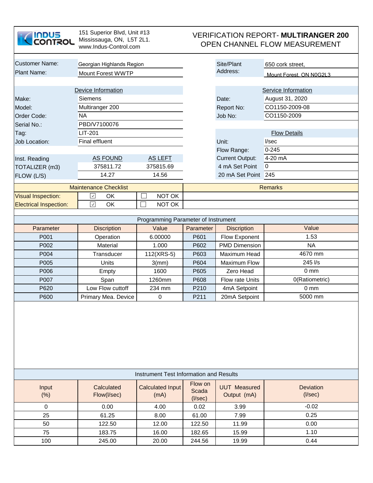| <u>INDUS</u><br>CONTROL                                              | 151 Superior Blvd, Unit #13<br>Mississauga, ON, L5T 2L1.<br>www.Indus-Control.com |                                         | <b>VERIFICATION REPORT- MULTIRANGER 200</b><br>OPEN CHANNEL FLOW MEASUREMENT |                                          |                                        |  |
|----------------------------------------------------------------------|-----------------------------------------------------------------------------------|-----------------------------------------|------------------------------------------------------------------------------|------------------------------------------|----------------------------------------|--|
| <b>Customer Name:</b>                                                | Georgian Highlands Region                                                         |                                         |                                                                              | Site/Plant                               | 650 cork street,                       |  |
| Plant Name:                                                          | <b>Mount Forest WWTP</b>                                                          |                                         |                                                                              | Address:                                 | Mount Forest. ON N0G2L3                |  |
| Make:                                                                | Device Information<br><b>Siemens</b>                                              |                                         |                                                                              | Date:                                    | Service Information<br>August 31, 2020 |  |
| Model:<br>Order Code:                                                | Multiranger 200<br><b>NA</b>                                                      |                                         |                                                                              | Report No:<br>Job No:                    | CO1150-2009-08<br>CO1150-2009          |  |
| Serial No.:                                                          | PBD/V7100076                                                                      |                                         |                                                                              |                                          |                                        |  |
| Tag:                                                                 | <b>LIT-201</b>                                                                    |                                         |                                                                              |                                          | <b>Flow Details</b>                    |  |
| <b>Job Location:</b>                                                 | <b>Final effluent</b>                                                             |                                         |                                                                              | Unit:                                    | I/sec                                  |  |
|                                                                      |                                                                                   |                                         |                                                                              | Flow Range:                              | $0 - 245$<br>4-20 mA                   |  |
| Inst. Reading<br>TOTALIZER (m3)                                      | <b>AS FOUND</b><br>375811.72                                                      | AS LEFT<br>375815.69                    |                                                                              | <b>Current Output:</b><br>4 mA Set Point | $\overline{0}$                         |  |
| FLOW (L/S)                                                           | 14.27                                                                             | 14.56                                   |                                                                              | 20 mA Set Point                          | 245                                    |  |
|                                                                      |                                                                                   |                                         |                                                                              |                                          |                                        |  |
| <b>Visual Inspection:</b>                                            | <b>Maintenance Checklist</b><br>$\checkmark$<br>OK                                | NOT OK<br>$\Box$                        | <b>Remarks</b>                                                               |                                          |                                        |  |
| <b>Electrical Inspection:</b>                                        | $\checkmark$<br>OK                                                                | $\Box$<br>NOT OK                        |                                                                              |                                          |                                        |  |
|                                                                      |                                                                                   |                                         |                                                                              |                                          |                                        |  |
|                                                                      |                                                                                   | Programming Parameter of Instrument     |                                                                              |                                          |                                        |  |
| Parameter                                                            | <b>Discription</b>                                                                | Value                                   | Parameter                                                                    | <b>Discription</b>                       | Value                                  |  |
| P001                                                                 | Operation                                                                         | 6.00000                                 | P601                                                                         | Flow Exponent                            | 1.53                                   |  |
| P002                                                                 | Material                                                                          | 1.000                                   | P602                                                                         | <b>PMD Dimension</b>                     | <b>NA</b>                              |  |
| P004                                                                 | Transducer                                                                        | 112(XRS-5)                              | P603                                                                         | Maximum Head                             | 4670 mm                                |  |
| P005                                                                 | Units                                                                             | $3$ (mm)                                | P604                                                                         | <b>Maximum Flow</b>                      | 245 l/s                                |  |
| P006                                                                 | Empty                                                                             | 1600                                    | P605                                                                         | Zero Head                                | $0 \text{ mm}$                         |  |
| P007                                                                 | Span                                                                              | 1260mm                                  | P608                                                                         | Flow rate Units                          | 0(Ratiometric)                         |  |
| P620                                                                 | Low Flow cuttoff                                                                  | 234 mm                                  | P210                                                                         | 4mA Setpoint                             | 0 <sub>mm</sub>                        |  |
| 5000 mm<br>P600<br>Primary Mea. Device<br>0<br>P211<br>20mA Setpoint |                                                                                   |                                         |                                                                              |                                          |                                        |  |
|                                                                      |                                                                                   | Instrument Test Information and Results |                                                                              |                                          |                                        |  |
| Input<br>(% )                                                        | Calculated<br>Flow(I/sec)                                                         | <b>Calculated Input</b><br>(mA)         | Flow on<br><b>Scada</b><br>$($ l/sec $)$                                     | <b>UUT Measured</b><br>Output (mA)       | <b>Deviation</b><br>$($ l/sec $)$      |  |
| 0                                                                    | 0.00                                                                              | 4.00                                    | 0.02                                                                         | 3.99                                     | $-0.02$                                |  |
| 25                                                                   | 61.25                                                                             | 8.00                                    | 61.00                                                                        | 7.99                                     | 0.25                                   |  |
| 50                                                                   | 122.50                                                                            | 12.00                                   | 122.50                                                                       | 11.99                                    | 0.00                                   |  |
| 75                                                                   | 183.75                                                                            | 16.00                                   | 182.65                                                                       | 15.99                                    | 1.10                                   |  |
| 100                                                                  | 245.00                                                                            | 20.00                                   | 244.56                                                                       | 19.99                                    | 0.44                                   |  |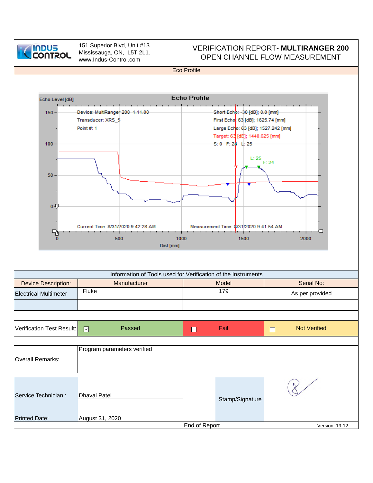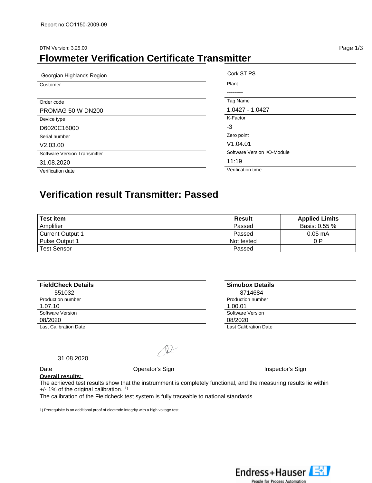#### DTM Version: 3.25.00 Page 1/3

### **Flowmeter Verification Certificate Transmitter**

| Georgian Highlands Region    | Cork ST PS                  |
|------------------------------|-----------------------------|
| Customer                     | Plant                       |
|                              |                             |
| Order code                   | Tag Name                    |
| PROMAG 50 W DN200            | 1.0427 - 1.0427             |
| Device type                  | K-Factor                    |
| D6020C16000                  | -3                          |
| Serial number                | Zero point                  |
| V2.03.00                     | V1.04.01                    |
| Software Version Transmitter | Software Version I/O-Module |
| 31.08.2020                   | 11:19                       |
| Verification date            | Verification time           |

### **Verification result Transmitter: Passed**

| <b>Test item</b>        | <b>Result</b> | <b>Applied Limits</b> |
|-------------------------|---------------|-----------------------|
| Amplifier               | Passed        | Basis: 0.55 %         |
| <b>Current Output 1</b> | Passed        | $0.05 \text{ mA}$     |
| Pulse Output 1          | Not tested    | 0 P                   |
| <b>Test Sensor</b>      | Passed        |                       |

| <b>FieldCheck Details</b>    | <b>Simubox Details</b>       |
|------------------------------|------------------------------|
| 551032                       | 8714684                      |
| Production number            | Production number            |
| 1.07.10                      | 1.00.01                      |
| Software Version             | Software Version             |
| 08/2020                      | 08/2020                      |
| <b>Last Calibration Date</b> | <b>Last Calibration Date</b> |

 $31.08.2020$ 

 $\mathbb{D}$ 

Date **Date Operator's Sign Inspector's Sign Inspector's Sign** 

. . . . . . . . . . . . . . . . . .

#### **Overall results:**

The achieved test results show that the instrumment is completely functional, and the measuring results lie within  $+/-$  1% of the original calibration.  $1$ )

The calibration of the Fieldcheck test system is fully traceable to national standards.

1) Prerequisite is an additional proof of electrode integrity with a high voltage test.

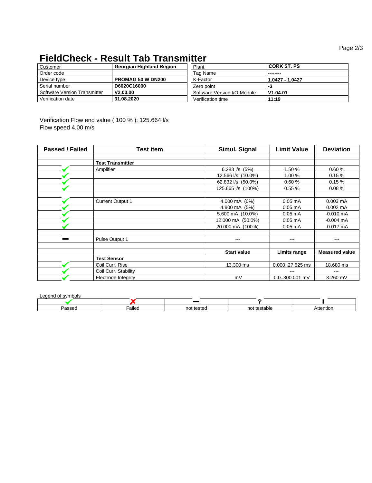Page 2/3

## **FieldCheck - Result Tab Transmitter**

| Customer                     | Georgian Highland Region | Plant                       | <b>CORK ST. PS</b> |
|------------------------------|--------------------------|-----------------------------|--------------------|
| Order code                   |                          | Tag Name                    | ---------          |
| Device type                  | <b>PROMAG 50 W DN200</b> | K-Factor                    | 1.0427 - 1.0427    |
| Serial number                | D6020C16000              | Zero point                  | -3                 |
| Software Version Transmitter | V2.03.00                 | Software Version I/O-Module | V1.04.01           |
| Verification date            | 31.08.2020               | Verification time           | 11:19              |

Verification Flow end value ( 100 % ): 125.664 l/s Flow speed 4.00 m/s

| Passed / Failed | Test item               | Simul. Signal      | <b>Limit Value</b> | <b>Deviation</b>      |
|-----------------|-------------------------|--------------------|--------------------|-----------------------|
|                 |                         |                    |                    |                       |
|                 | <b>Test Transmitter</b> |                    |                    |                       |
|                 | Amplifier               | 6.283 $1/s$ (5%)   | 1.50 %             | 0.60%                 |
|                 |                         | 12.566 l/s (10.0%) | 1.00 %             | 0.15%                 |
|                 |                         | 62.832 l/s (50.0%) | 0.60%              | 0.15%                 |
|                 |                         | 125.665 l/s (100%) | 0.55%              | 0.08%                 |
|                 |                         |                    |                    |                       |
|                 | <b>Current Output 1</b> | 4.000 mA (0%)      | $0.05$ mA          | $0.003$ mA            |
|                 |                         | 4.800 mA (5%)      | $0.05$ mA          | $0.002$ mA            |
|                 |                         | 5.600 mA (10.0%)   | $0.05$ mA          | $-0.010$ mA           |
|                 |                         | 12.000 mA (50.0%)  | $0.05$ mA          | $-0.004 \text{ mA}$   |
|                 |                         | 20.000 mA (100%)   | $0.05$ mA          | $-0.017$ mA           |
|                 |                         |                    |                    |                       |
|                 | Pulse Output 1          | $\qquad \qquad -$  | $---$              | $\qquad \qquad -$     |
|                 |                         |                    |                    |                       |
|                 |                         | <b>Start value</b> | Limits range       | <b>Measured value</b> |
|                 | <b>Test Sensor</b>      |                    |                    |                       |
|                 | Coil Curr. Rise         | 13.300 ms          | 0.00027.625 ms     | 18.680 ms             |
|                 | Coil Curr. Stability    |                    |                    | ---                   |
|                 | Electrode Integrity     | mV                 | 0.0300.001 mV      | 3.260 mV              |

Legend of symbols

| ിററാറ<br>555 U | .<br>Failed | nn<br>testec | stable | Attentior |
|----------------|-------------|--------------|--------|-----------|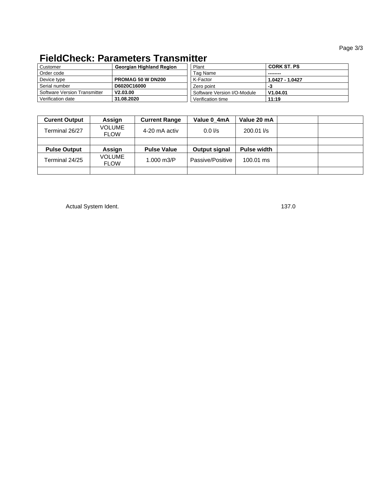#### Page 3/3

# **FieldCheck: Parameters Transmitter**

| Customer                     | <b>Georgian Highland Region</b> | Plant                       | <b>CORK ST. PS</b> |
|------------------------------|---------------------------------|-----------------------------|--------------------|
| Order code                   |                                 | Tag Name                    | ---------          |
| Device type                  | <b>PROMAG 50 W DN200</b>        | K-Factor                    | 1.0427 - 1.0427    |
| Serial number                | D6020C16000                     | Zero point                  | -3                 |
| Software Version Transmitter | V2.03.00                        | Software Version I/O-Module | V1.04.01           |
| Verification date            | 31.08.2020                      | Verification time           | 11:19              |

| <b>Curent Output</b> | Assign                       | <b>Current Range</b> | Value 0_4mA      | Value 20 mA        |  |
|----------------------|------------------------------|----------------------|------------------|--------------------|--|
| Terminal 26/27       | <b>VOLUME</b><br><b>FLOW</b> | 4-20 mA activ        | $0.0$ I/s        | 200.01 l/s         |  |
|                      |                              |                      |                  |                    |  |
| <b>Pulse Output</b>  | Assign                       | <b>Pulse Value</b>   | Output signal    | <b>Pulse width</b> |  |
| Terminal 24/25       | <b>VOLUME</b><br><b>FLOW</b> | 1.000 m3/P           | Passive/Positive | 100.01 ms          |  |
|                      |                              |                      |                  |                    |  |

Actual System Ident. 137.0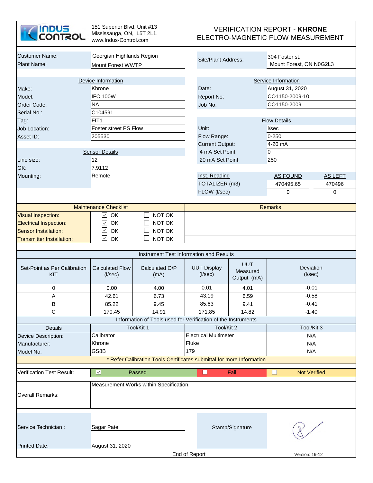

151 Superior Blvd, Unit #13 Mississauga, ON, L5T 2L1. www.Indus-Control.com

#### VERIFICATION REPORT - **KHRONE**  ELECTRO-MAGNETIC FLOW MEASUREMENT

| <b>Customer Name:</b>               |                                         |                                                                       |                                     |                        |                 |                            |   |
|-------------------------------------|-----------------------------------------|-----------------------------------------------------------------------|-------------------------------------|------------------------|-----------------|----------------------------|---|
|                                     | Georgian Highlands Region               |                                                                       | Site/Plant Address:                 |                        |                 | 304 Foster st.             |   |
| <b>Plant Name:</b>                  | Mount Forest WWTP                       |                                                                       |                                     |                        |                 | Mount Forest, ON N0G2L3    |   |
|                                     |                                         |                                                                       |                                     |                        |                 |                            |   |
|                                     | Device Information                      |                                                                       |                                     |                        |                 | Service Information        |   |
| Make:                               | Khrone                                  |                                                                       | Date:                               |                        |                 | August 31, 2020            |   |
| Model:                              | <b>IFC 100W</b>                         |                                                                       | Report No:                          |                        |                 | CO1150-2009-10             |   |
| Order Code:                         | <b>NA</b>                               |                                                                       | Job No:                             |                        |                 | CO1150-2009                |   |
| Serial No.:                         | C104591                                 |                                                                       |                                     |                        |                 |                            |   |
| Tag:                                | FIT <sub>1</sub>                        |                                                                       |                                     |                        |                 | <b>Flow Details</b>        |   |
| Job Location:                       | Foster street PS Flow                   |                                                                       | Unit:                               |                        |                 | I/sec                      |   |
| Asset ID:                           | 205530                                  |                                                                       | Flow Range:                         |                        |                 | $0 - 250$                  |   |
|                                     |                                         |                                                                       |                                     | <b>Current Output:</b> |                 | 4-20 mA                    |   |
|                                     | <b>Sensor Details</b>                   |                                                                       |                                     | 4 mA Set Point         |                 | $\overline{0}$             |   |
| Line size:                          | 12"                                     |                                                                       |                                     | 20 mA Set Point        |                 | 250                        |   |
| GK:                                 | 7.9112                                  |                                                                       |                                     |                        |                 |                            |   |
|                                     | Remote                                  |                                                                       |                                     |                        |                 | <b>AS FOUND</b>            |   |
| Mounting:                           |                                         |                                                                       | Inst. Reading                       |                        |                 | <b>AS LEFT</b>             |   |
|                                     |                                         |                                                                       | TOTALIZER (m3)                      |                        | 470495.65       | 470496                     |   |
|                                     |                                         |                                                                       | FLOW (I/sec)                        |                        |                 | 0                          | 0 |
|                                     |                                         |                                                                       |                                     |                        |                 |                            |   |
|                                     | <b>Maintenance Checklist</b>            |                                                                       |                                     |                        |                 | <b>Remarks</b>             |   |
| <b>Visual Inspection:</b>           | $\sqrt{2}$ OK                           | NOT OK                                                                |                                     |                        |                 |                            |   |
| <b>Electrical Inspection:</b>       | OK<br>$\checkmark$                      | NOT OK                                                                |                                     |                        |                 |                            |   |
| <b>Sensor Installation:</b>         | $\checkmark$<br>OK                      | NOT OK                                                                |                                     |                        |                 |                            |   |
| <b>Transmitter Installation:</b>    | $\checkmark$<br>OK                      | NOT OK                                                                |                                     |                        |                 |                            |   |
|                                     |                                         |                                                                       |                                     |                        |                 |                            |   |
|                                     |                                         | Instrument Test Information and Results                               |                                     |                        |                 |                            |   |
|                                     |                                         |                                                                       |                                     |                        | <b>UUT</b>      |                            |   |
| Set-Point as Per Calibration<br>KIT | <b>Calculated Flow</b><br>$($ l/sec $)$ | Calculated O/P<br>(mA)                                                | <b>UUT Display</b><br>$($ l/sec $)$ |                        | Measured        | Deviation<br>$($ l/sec $)$ |   |
|                                     |                                         |                                                                       |                                     |                        | Output (mA)     |                            |   |
| 0                                   | 0.00                                    | 4.00                                                                  | 0.01                                |                        | 4.01            | $-0.01$                    |   |
| A                                   | 42.61                                   | 6.73                                                                  | 43.19                               |                        | 6.59            | $-0.58$                    |   |
| $\sf B$                             | 85.22                                   | 9.45                                                                  | 85.63                               |                        | 9.41            | $-0.41$                    |   |
| $\mathbf C$                         | 170.45                                  | 14.91                                                                 | 171.85                              |                        | 14.82           | $-1.40$                    |   |
|                                     |                                         | Information of Tools used for Verification of the Instruments         |                                     |                        |                 |                            |   |
| <b>Details</b>                      |                                         | Tool/Kit 1                                                            |                                     | Tool/Kit 2             |                 | Tool/Kit 3                 |   |
| Device Description:                 | Calibrator                              |                                                                       | <b>Electrical Multimeter</b>        |                        |                 | N/A                        |   |
| Manufacturer:                       | Khrone                                  |                                                                       | Fluke                               |                        |                 | N/A                        |   |
| Model No:                           | GS8B                                    |                                                                       | 179                                 |                        |                 | N/A                        |   |
|                                     |                                         | * Refer Calibration Tools Certificates submittal for more Information |                                     |                        |                 |                            |   |
|                                     |                                         |                                                                       |                                     |                        |                 |                            |   |
| <b>Verification Test Result:</b>    | $\overline{\mathcal{L}}$                | Passed                                                                | M                                   |                        | Fail            | <b>Not Verified</b>        |   |
|                                     |                                         |                                                                       |                                     |                        |                 |                            |   |
|                                     |                                         | Measurement Works within Specification.                               |                                     |                        |                 |                            |   |
| <b>Overall Remarks:</b>             |                                         |                                                                       |                                     |                        |                 |                            |   |
|                                     |                                         |                                                                       |                                     |                        |                 |                            |   |
|                                     |                                         |                                                                       |                                     |                        |                 |                            |   |
|                                     |                                         |                                                                       |                                     |                        |                 |                            |   |
| Service Technician :                | Sagar Patel                             |                                                                       |                                     |                        | Stamp/Signature |                            |   |
|                                     |                                         |                                                                       |                                     |                        |                 |                            |   |
|                                     |                                         |                                                                       |                                     |                        |                 |                            |   |
| <b>Printed Date:</b>                | August 31, 2020                         |                                                                       |                                     |                        |                 |                            |   |
|                                     |                                         |                                                                       | End of Report                       |                        |                 | Version: 19-12             |   |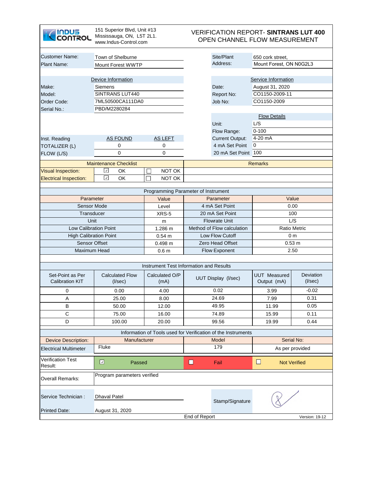| <b>INDUS</b><br><b>OULSOL</b>                | 151 Superior Blvd, Unit #13<br>Mississauga, ON, L5T 2L1.<br>www.Indus-Control.com |                                         |               | <b>VERIFICATION REPORT- SINTRANS LUT 400</b><br>OPEN CHANNEL FLOW MEASUREMENT |                         |                     |
|----------------------------------------------|-----------------------------------------------------------------------------------|-----------------------------------------|---------------|-------------------------------------------------------------------------------|-------------------------|---------------------|
| <b>Customer Name:</b>                        | Town of Shelburne                                                                 |                                         |               | Site/Plant                                                                    | 650 cork street,        |                     |
| <b>Plant Name:</b>                           | Mount Forest WWTP                                                                 |                                         |               | Address:                                                                      | Mount Forest, ON N0G2L3 |                     |
|                                              |                                                                                   |                                         |               |                                                                               |                         |                     |
|                                              | Device Information                                                                |                                         |               |                                                                               | Service Information     |                     |
| Make:                                        | Siemens                                                                           |                                         |               | Date:                                                                         | August 31, 2020         |                     |
| Model:                                       | SINTRANS LUT440                                                                   |                                         |               | Report No:                                                                    | CO1150-2009-11          |                     |
| Order Code:<br>Serial No.:                   | 7ML50500CA111DA0<br>PBD/M2280284                                                  |                                         |               | Job No:                                                                       | CO1150-2009             |                     |
|                                              |                                                                                   |                                         |               |                                                                               | <b>Flow Details</b>     |                     |
|                                              |                                                                                   |                                         |               | Unit:                                                                         | L/S                     |                     |
|                                              |                                                                                   |                                         |               | Flow Range:                                                                   | $0 - 100$               |                     |
| Inst. Reading                                | <b>AS FOUND</b>                                                                   | AS LEFT                                 |               | <b>Current Output:</b>                                                        | 4-20 mA                 |                     |
| <b>TOTALIZER (L)</b>                         | 0                                                                                 | 0                                       |               | 4 mA Set Point                                                                | 0                       |                     |
| FLOW (L/S)                                   | 0                                                                                 | 0                                       |               | 20 mA Set Point 100                                                           |                         |                     |
|                                              |                                                                                   |                                         |               |                                                                               |                         |                     |
|                                              | <b>Maintenance Checklist</b>                                                      |                                         |               |                                                                               | <b>Remarks</b>          |                     |
| <b>Visual Inspection:</b>                    | $\checkmark$<br>OK                                                                | NOT OK<br>└                             |               |                                                                               |                         |                     |
| <b>Electrical Inspection:</b>                | $\checkmark$<br>OK                                                                | NOT OK<br>П                             |               |                                                                               |                         |                     |
|                                              |                                                                                   | Programming Parameter of Instrument     |               |                                                                               |                         |                     |
| Parameter                                    |                                                                                   | Value                                   | Parameter     |                                                                               | Value                   |                     |
| <b>Sensor Mode</b>                           |                                                                                   | Level                                   |               | 4 mA Set Point                                                                | 0.00                    |                     |
| Transducer                                   |                                                                                   | XRS-5                                   |               | 20 mA Set Point                                                               | 100                     |                     |
| Unit                                         |                                                                                   | m                                       |               | <b>Flowrate Unit</b>                                                          | L/S                     |                     |
| Low Calibration Point                        |                                                                                   | 1.286 m                                 |               | Method of Flow calculation                                                    | <b>Ratio Metric</b>     |                     |
| <b>High Calibration Point</b>                |                                                                                   | $0.54 \; m$                             |               | Low Flow Cutoff                                                               | 0 <sub>m</sub>          |                     |
| Sensor Offset                                |                                                                                   | 0.498 m                                 |               | Zero Head Offset                                                              |                         | $0.53 \, m$         |
| Maximum Head                                 |                                                                                   | 0.6 <sub>m</sub>                        |               | <b>Flow Exponent</b>                                                          |                         | 2.50                |
|                                              |                                                                                   | Instrument Test Information and Results |               |                                                                               |                         |                     |
| Set-Point as Per                             | <b>Calculated Flow</b>                                                            | Calculated O/P                          |               |                                                                               | <b>UUT Measured</b>     | <b>Deviation</b>    |
| <b>Calibration KIT</b>                       | $($ l/sec $)$                                                                     | (mA)                                    |               | UUT Display (I/sec)                                                           | Output (mA)             | $($ l/sec $)$       |
| 0                                            | 0.00                                                                              | 4.00                                    |               | 0.02                                                                          | 3.99                    | $-0.02$             |
| Α                                            | 25.00                                                                             | 8.00                                    |               | 24.69                                                                         | 7.99                    | 0.31                |
| B                                            | 50.00                                                                             | 12.00                                   |               | 49.95                                                                         | 11.99                   | 0.05                |
| C                                            | 75.00                                                                             | 16.00                                   |               | 74.89                                                                         | 15.99                   | 0.11                |
| D                                            | 100.00                                                                            | 20.00                                   |               | 99.56                                                                         | 19.99                   | 0.44                |
|                                              |                                                                                   |                                         |               | Information of Tools used for Verification of the Instruments                 |                         |                     |
| <b>Device Description:</b>                   | Manufacturer                                                                      |                                         |               | Model                                                                         |                         | Serial No:          |
| <b>Electrical Multimeter</b>                 | Fluke                                                                             |                                         |               | 179                                                                           |                         | As per provided     |
| <b>Verification Test</b><br>Result:          | $\Box$<br>Passed                                                                  |                                         | □             | Fail                                                                          | □                       | <b>Not Verified</b> |
| <b>Overall Remarks:</b>                      | Program parameters verified                                                       |                                         |               |                                                                               |                         |                     |
| Service Technician :<br><b>Printed Date:</b> | <b>Dhaval Patel</b><br>August 31, 2020                                            |                                         |               | Stamp/Signature                                                               |                         |                     |
|                                              |                                                                                   |                                         | End of Report |                                                                               |                         | Version: 19-12      |

H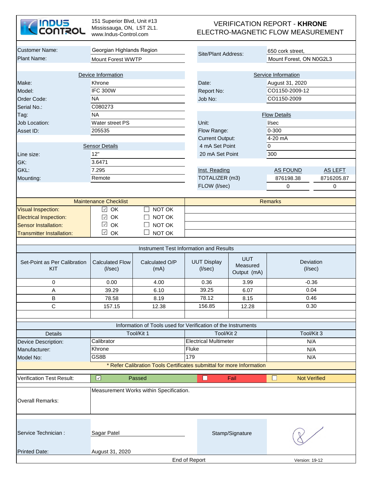| <b>ZINDUS</b>  |
|----------------|
| <b>CONTROL</b> |

151 Superior Blvd, Unit #13 Mississauga, ON, L5T 2L1. www.Indus-Control.com

#### VERIFICATION REPORT - **KHRONE**  ELECTRO-MAGNETIC FLOW MEASUREMENT

| <b>Customer Name:</b>                          |                                         |                                                                             |                                                           |                                       |                                             |                             |                |  |
|------------------------------------------------|-----------------------------------------|-----------------------------------------------------------------------------|-----------------------------------------------------------|---------------------------------------|---------------------------------------------|-----------------------------|----------------|--|
| <b>Plant Name:</b>                             | Georgian Highlands Region               |                                                                             | Site/Plant Address:                                       |                                       | 650 cork street,<br>Mount Forest, ON N0G2L3 |                             |                |  |
|                                                | Mount Forest WWTP                       |                                                                             |                                                           |                                       |                                             |                             |                |  |
|                                                | Device Information                      |                                                                             |                                                           |                                       |                                             | Service Information         |                |  |
| Make:                                          | Khrone                                  |                                                                             |                                                           | Date:                                 |                                             | August 31, 2020             |                |  |
| Model:                                         | <b>IFC 300W</b>                         |                                                                             |                                                           | Report No:                            |                                             | CO1150-2009-12              |                |  |
| Order Code:                                    | <b>NA</b>                               |                                                                             |                                                           |                                       |                                             | CO1150-2009                 |                |  |
| Serial No.:                                    | C080273                                 |                                                                             | Job No:                                                   |                                       |                                             |                             |                |  |
|                                                | <b>NA</b>                               |                                                                             |                                                           |                                       |                                             |                             |                |  |
| Tag:<br><b>Job Location:</b>                   | Water street PS                         |                                                                             | <b>Flow Details</b>                                       |                                       |                                             |                             |                |  |
| Asset ID:                                      | 205535                                  |                                                                             | Unit:<br>l/sec                                            |                                       |                                             |                             |                |  |
|                                                |                                         |                                                                             | 0-300<br>Flow Range:<br>4-20 mA<br><b>Current Output:</b> |                                       |                                             |                             |                |  |
|                                                | <b>Sensor Details</b>                   |                                                                             | 4 mA Set Point                                            |                                       | $\overline{0}$                              |                             |                |  |
| Line size:                                     | 12"                                     |                                                                             | 20 mA Set Point                                           |                                       | 300                                         |                             |                |  |
| GK:                                            | 3.6471                                  |                                                                             |                                                           |                                       |                                             |                             |                |  |
| GKL:                                           | 7.295                                   |                                                                             |                                                           | Inst. Reading                         |                                             | <b>AS FOUND</b>             | <b>AS LEFT</b> |  |
| Mounting:                                      | Remote                                  |                                                                             |                                                           | TOTALIZER (m3)                        |                                             | 876198.38                   | 8716205.87     |  |
|                                                |                                         |                                                                             |                                                           | FLOW (I/sec)                          |                                             | 0                           | 0              |  |
|                                                |                                         |                                                                             |                                                           |                                       |                                             |                             |                |  |
| <b>Maintenance Checklist</b><br><b>Remarks</b> |                                         |                                                                             |                                                           |                                       |                                             |                             |                |  |
| <b>Visual Inspection:</b>                      | OK<br>$\checkmark$                      | NOT OK                                                                      |                                                           |                                       |                                             |                             |                |  |
| <b>Electrical Inspection:</b>                  | OK<br>$\checkmark$                      | NOT OK                                                                      |                                                           |                                       |                                             |                             |                |  |
| <b>Sensor Installation:</b>                    | $\checkmark$<br>OK                      | NOT OK                                                                      |                                                           |                                       |                                             |                             |                |  |
| <b>Transmitter Installation:</b>               | $\checkmark$<br>OK                      | NOT OK                                                                      |                                                           |                                       |                                             |                             |                |  |
|                                                |                                         |                                                                             |                                                           |                                       |                                             |                             |                |  |
|                                                |                                         | Instrument Test Information and Results                                     |                                                           |                                       |                                             |                             |                |  |
| Set-Point as Per Calibration<br>KIT            | <b>Calculated Flow</b><br>$($ l/sec $)$ | Calculated O/P<br>(mA)                                                      |                                                           | <b>UUT Display</b><br>$($ I/sec $)$   | <b>UUT</b><br>Measured<br>Output (mA)       | Deviation<br>$($ I/sec $)$  |                |  |
| 0                                              | 0.00                                    | 4.00                                                                        |                                                           | 0.36                                  | 3.99                                        | $-0.36$                     |                |  |
| A                                              | 39.29                                   | 6.10                                                                        |                                                           | 39.25                                 | 6.07                                        | 0.04                        |                |  |
| $\sf B$                                        | 78.58                                   | 8.19                                                                        |                                                           | 78.12                                 | 8.15                                        | 0.46                        |                |  |
| $\mathsf C$                                    | 157.15                                  | 12.38                                                                       |                                                           | 156.85                                | 12.28                                       | 0.30                        |                |  |
|                                                |                                         |                                                                             |                                                           |                                       |                                             |                             |                |  |
|                                                |                                         |                                                                             |                                                           |                                       |                                             |                             |                |  |
|                                                |                                         | Information of Tools used for Verification of the Instruments<br>Tool/Kit 1 |                                                           | Tool/Kit 2                            |                                             | Tool/Kit 3                  |                |  |
| <b>Details</b>                                 | Calibrator                              |                                                                             |                                                           |                                       |                                             |                             |                |  |
| Device Description:<br>Manufacturer:           | Khrone                                  |                                                                             |                                                           | <b>Electrical Multimeter</b><br>Fluke |                                             | N/A<br>N/A                  |                |  |
| Model No:                                      | GS8B                                    |                                                                             | 179                                                       |                                       |                                             | N/A                         |                |  |
|                                                |                                         | * Refer Calibration Tools Certificates submittal for more Information       |                                                           |                                       |                                             |                             |                |  |
|                                                |                                         |                                                                             |                                                           |                                       |                                             |                             |                |  |
| <b>Verification Test Result:</b>               | $\overline{\mathcal{L}}$                | Passed                                                                      |                                                           | $\Box$                                | Fail                                        | l. I<br><b>Not Verified</b> |                |  |
| <b>Overall Remarks:</b>                        |                                         | Measurement Works within Specification.                                     |                                                           |                                       |                                             |                             |                |  |
| Service Technician :<br><b>Printed Date:</b>   | Sagar Patel<br>August 31, 2020          |                                                                             |                                                           |                                       | Stamp/Signature                             |                             |                |  |
|                                                |                                         |                                                                             | End of Report                                             |                                       |                                             | Version: 19-12              |                |  |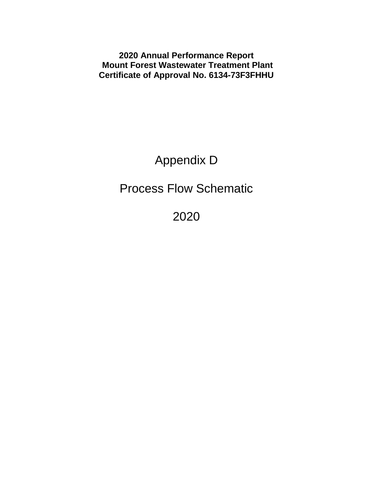**2020 Annual Performance Report Mount Forest Wastewater Treatment Plant Certificate of Approval No. 6134-73F3FHHU**

Appendix D

Process Flow Schematic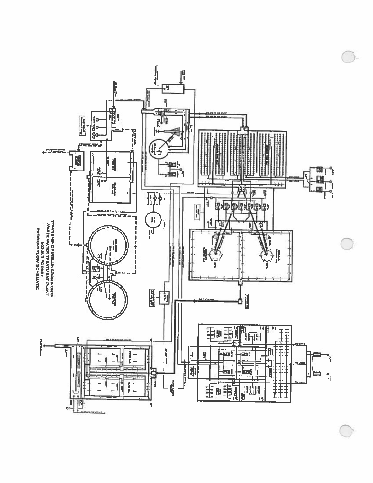

C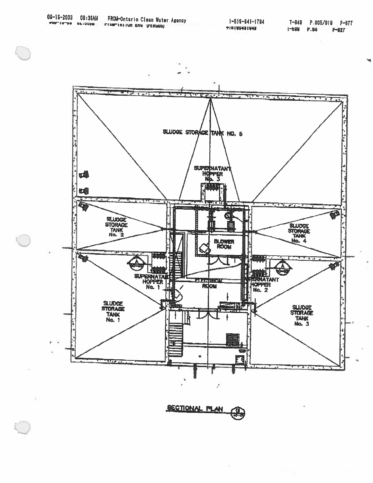

**SECTIONAL PLAN** €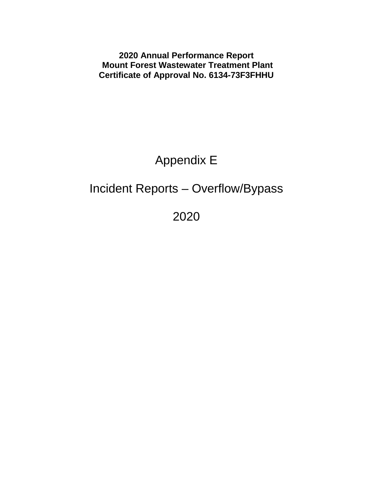**2020 Annual Performance Report Mount Forest Wastewater Treatment Plant Certificate of Approval No. 6134-73F3FHHU**

# Appendix E

# Incident Reports – Overflow/Bypass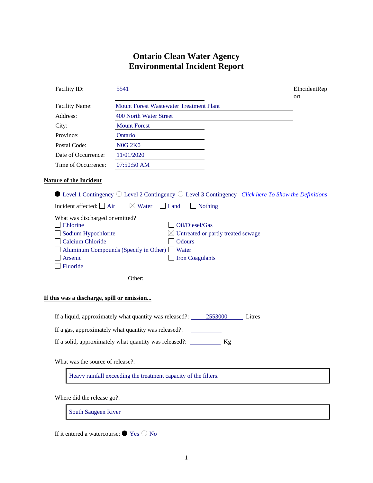#### **Ontario Clean Water Agency Environmental Incident Report**

| Facility ID:                                                                                                                                                               | 5541                                                                                                                                                                                                                                                                                                                                                                               | EIncidentRep<br>ort |
|----------------------------------------------------------------------------------------------------------------------------------------------------------------------------|------------------------------------------------------------------------------------------------------------------------------------------------------------------------------------------------------------------------------------------------------------------------------------------------------------------------------------------------------------------------------------|---------------------|
| <b>Facility Name:</b>                                                                                                                                                      | <b>Mount Forest Wastewater Treatment Plant</b>                                                                                                                                                                                                                                                                                                                                     |                     |
| Address:                                                                                                                                                                   | 400 North Water Street                                                                                                                                                                                                                                                                                                                                                             |                     |
| City:                                                                                                                                                                      | <b>Mount Forest</b>                                                                                                                                                                                                                                                                                                                                                                |                     |
| Province:                                                                                                                                                                  | Ontario                                                                                                                                                                                                                                                                                                                                                                            |                     |
| Postal Code:                                                                                                                                                               | <b>N0G 2K0</b>                                                                                                                                                                                                                                                                                                                                                                     |                     |
| Date of Occurrence:                                                                                                                                                        | 11/01/2020                                                                                                                                                                                                                                                                                                                                                                         |                     |
| Time of Occurrence:                                                                                                                                                        | 07:50:50 AM                                                                                                                                                                                                                                                                                                                                                                        |                     |
| <b>Nature of the Incident</b><br>Incident affected: $\Box$ Air<br>What was discharged or emitted?<br><b>Chlorine</b><br>Sodium Hypochlorite<br>Calcium Chloride<br>Arsenic | $\bullet$ Level 1 Contingency $\circlearrowright$ Level 2 Contingency $\circlearrowright$ Level 3 Contingency <i>Click here To Show the Definitions</i><br>$\boxtimes$ Water<br>$\Box$ Land<br>$\Box$ Nothing<br>Oil/Diesel/Gas<br>$\boxtimes$ Untreated or partly treated sewage<br><b>Odours</b><br>Aluminum Compounds (Specify in Other) $\Box$ Water<br><b>Iron Coagulants</b> |                     |
| Fluoride                                                                                                                                                                   |                                                                                                                                                                                                                                                                                                                                                                                    |                     |
|                                                                                                                                                                            | Other:                                                                                                                                                                                                                                                                                                                                                                             |                     |
| If this was a discharge, spill or emission                                                                                                                                 |                                                                                                                                                                                                                                                                                                                                                                                    |                     |
|                                                                                                                                                                            | If a liquid, approximately what quantity was released?: 2553000 Litres                                                                                                                                                                                                                                                                                                             |                     |
|                                                                                                                                                                            | If a gas, approximately what quantity was released?: ____________________________                                                                                                                                                                                                                                                                                                  |                     |
|                                                                                                                                                                            | If a solid, approximately what quantity was released?: __________ Kg                                                                                                                                                                                                                                                                                                               |                     |
| What was the source of release?:                                                                                                                                           |                                                                                                                                                                                                                                                                                                                                                                                    |                     |

Heavy rainfall exceeding the treatment capacity of the filters.

Where did the release go?:

South Saugeen River

If it entered a watercourse:  $\bullet$  Yes  $\circledcirc$  No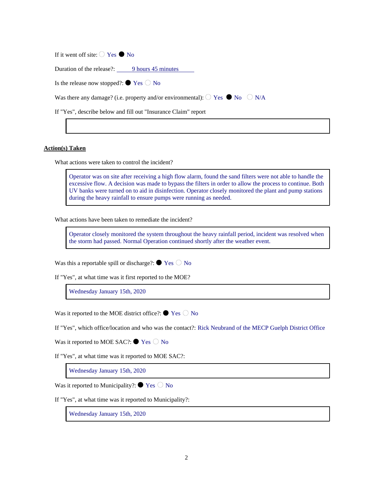If it went off site:  $\bigcirc$  Yes  $\bigcirc$  No

Duration of the release?: 9 hours 45 minutes

Is the release now stopped?:  $\bullet$  Yes  $\circlearrowright$  No

Was there any damage? (i.e. property and/or environmental):  $\bigcirc$  Yes  $\bigcirc$  No  $\bigcirc$  N/A

If "Yes", describe below and fill out "Insurance Claim" report

**Action(s) Taken**

What actions were taken to control the incident?

Operator was on site after receiving a high flow alarm, found the sand filters were not able to handle the excessive flow. A decision was made to bypass the filters in order to allow the process to continue. Both UV banks were turned on to aid in disinfection. Operator closely monitored the plant and pump stations during the heavy rainfall to ensure pumps were running as needed.

What actions have been taken to remediate the incident?

Operator closely monitored the system throughout the heavy rainfall period, incident was resolved when the storm had passed. Normal Operation continued shortly after the weather event.

Was this a reportable spill or discharge?:  $\bullet$  Yes  $\circ$  No

If "Yes", at what time was it first reported to the MOE?

Wednesday January 15th, 2020

Was it reported to the MOE district office?:  $\bullet$  Yes  $\circlearrowright$  No

If "Yes", which office/location and who was the contact?: Rick Neubrand of the MECP Guelph District Office

Was it reported to MOE SAC?:  $\bullet$  Yes  $\circledcirc$  No

If "Yes", at what time was it reported to MOE SAC?:

Wednesday January 15th, 2020

Was it reported to Municipality?:  $\bullet$  Yes  $\circ$  No

If "Yes", at what time was it reported to Municipality?:

Wednesday January 15th, 2020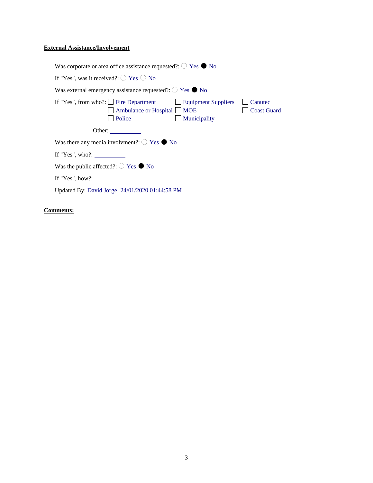#### **External Assistance/Involvement**

| Was corporate or area office assistance requested?: $\bigcirc$ Yes $\bullet$ No                                                                                                     |
|-------------------------------------------------------------------------------------------------------------------------------------------------------------------------------------|
| If "Yes", was it received?: $\bigcirc$ Yes $\bigcirc$ No                                                                                                                            |
| Was external emergency assistance requested?: $\circ$ Yes $\bullet$ No                                                                                                              |
| If "Yes", from who?: $\Box$ Fire Department $\Box$ Equipment Suppliers<br>Canutec<br>$\Box$ Ambulance or Hospital $\Box$ MOE<br><b>Coast Guard</b><br>Police<br>$\Box$ Municipality |
| Other:                                                                                                                                                                              |
| Was there any media involvment?: $\bigcirc$ Yes $\bullet$ No                                                                                                                        |
| If "Yes", who?:                                                                                                                                                                     |
| Was the public affected?: $\bigcirc$ Yes $\bigcirc$ No                                                                                                                              |
| If "Yes", how?:                                                                                                                                                                     |
| Updated By: David Jorge 24/01/2020 01:44:58 PM                                                                                                                                      |

#### **Comments:**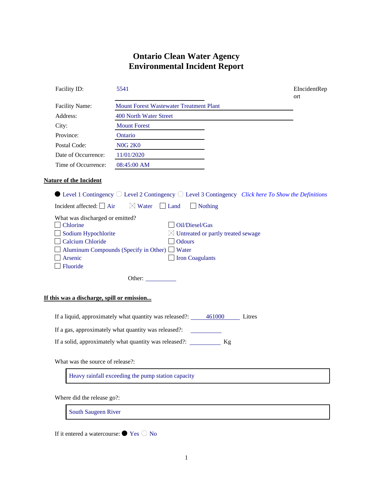#### **Ontario Clean Water Agency Environmental Incident Report**

| Facility ID:                                                                                                         | 5541                                                                                                                                                       | EIncidentRep<br>ort |
|----------------------------------------------------------------------------------------------------------------------|------------------------------------------------------------------------------------------------------------------------------------------------------------|---------------------|
| Facility Name:                                                                                                       | <b>Mount Forest Wastewater Treatment Plant</b>                                                                                                             |                     |
| Address:                                                                                                             | 400 North Water Street                                                                                                                                     |                     |
| City:                                                                                                                | <b>Mount Forest</b>                                                                                                                                        |                     |
| Province:                                                                                                            | Ontario                                                                                                                                                    |                     |
| Postal Code:                                                                                                         | <b>N0G 2K0</b>                                                                                                                                             |                     |
| Date of Occurrence:                                                                                                  | 11/01/2020                                                                                                                                                 |                     |
| Time of Occurrence:                                                                                                  | 08:45:00 AM                                                                                                                                                |                     |
| <b>Nature of the Incident</b>                                                                                        |                                                                                                                                                            |                     |
|                                                                                                                      | $\bullet$ Level 1 Contingency $\circlearrowright$ Level 2 Contingency $\circlearrowright$ Level 3 Contingency <i>Click here To Show the Definitions</i>    |                     |
| Incident affected: $\Box$ Air                                                                                        | $\boxtimes$ Water<br>$\Box$ Land<br>$\Box$ Nothing                                                                                                         |                     |
| What was discharged or emitted?<br><b>Chlorine</b><br>Sodium Hypochlorite<br>Calcium Chloride<br>Arsenic<br>Fluoride | Oil/Diesel/Gas<br>$\boxtimes$ Untreated or partly treated sewage<br><b>Odours</b><br>Aluminum Compounds (Specify in Other) $\Box$ Water<br>Iron Coagulants |                     |
|                                                                                                                      | Other:                                                                                                                                                     |                     |
| If this was a discharge, spill or emission                                                                           |                                                                                                                                                            |                     |
|                                                                                                                      | If a liquid, approximately what quantity was released?: 461000 Litres                                                                                      |                     |
|                                                                                                                      | If a gas, approximately what quantity was released?:                                                                                                       |                     |
|                                                                                                                      | If a solid, approximately what quantity was released?: ___________ Kg                                                                                      |                     |
| What was the source of release?:                                                                                     |                                                                                                                                                            |                     |
|                                                                                                                      | Heavy rainfall exceeding the pump station capacity                                                                                                         |                     |

Where did the release go?:

South Saugeen River

If it entered a watercourse:  $\bullet$  Yes  $\circledcirc$  No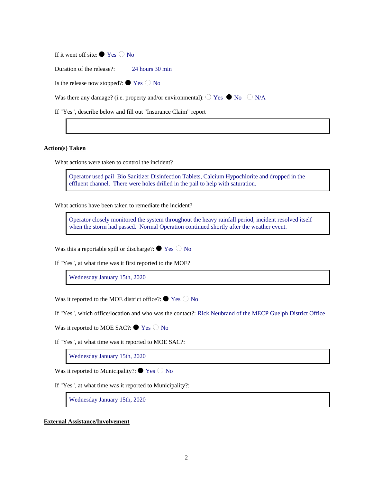If it went off site:  $\bullet$  Yes  $\circledcirc$  No

Duration of the release?: 24 hours 30 min

Is the release now stopped?:  $\bullet$  Yes  $\circlearrowright$  No

Was there any damage? (i.e. property and/or environmental):  $\bigcirc$  Yes  $\bigcirc$  No  $\bigcirc$  N/A

If "Yes", describe below and fill out "Insurance Claim" report

**Action(s) Taken**

What actions were taken to control the incident?

Operator used pail Bio Sanitizer Disinfection Tablets, Calcium Hypochlorite and dropped in the effluent channel. There were holes drilled in the pail to help with saturation.

What actions have been taken to remediate the incident?

Operator closely monitored the system throughout the heavy rainfall period, incident resolved itself when the storm had passed. Normal Operation continued shortly after the weather event.

Was this a reportable spill or discharge?:  $\bullet$  Yes  $\circlearrowright$  No

If "Yes", at what time was it first reported to the MOE?

Wednesday January 15th, 2020

Was it reported to the MOE district office?:  $\bullet$  Yes  $\circlearrowright$  No

If "Yes", which office/location and who was the contact?: Rick Neubrand of the MECP Guelph District Office

Was it reported to MOE SAC?:  $\bullet$  Yes  $\circledcirc$  No

If "Yes", at what time was it reported to MOE SAC?:

Wednesday January 15th, 2020

Was it reported to Municipality?:  $\bullet$  Yes  $\circlearrowright$  No

If "Yes", at what time was it reported to Municipality?:

Wednesday January 15th, 2020

**External Assistance/Involvement**